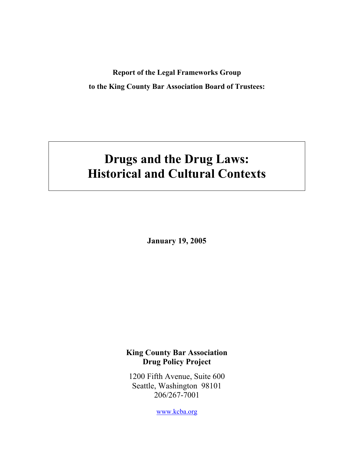**Report of the Legal Frameworks Group to the King County Bar Association Board of Trustees:** 

# **Drugs and the Drug Laws: Historical and Cultural Contexts**

**January 19, 2005** 

## **King County Bar Association Drug Policy Project**

1200 Fifth Avenue, Suite 600 Seattle, Washington 98101 206/267-7001

www.kcba.org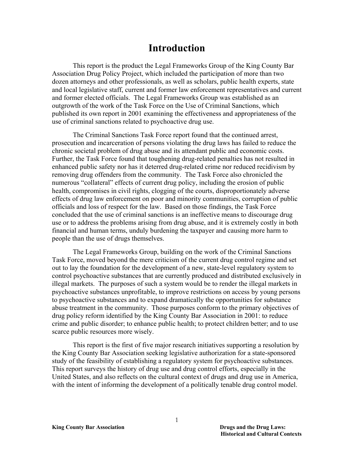## **Introduction**

This report is the product the Legal Frameworks Group of the King County Bar Association Drug Policy Project, which included the participation of more than two dozen attorneys and other professionals, as well as scholars, public health experts, state and local legislative staff, current and former law enforcement representatives and current and former elected officials. The Legal Frameworks Group was established as an outgrowth of the work of the Task Force on the Use of Criminal Sanctions, which published its own report in 2001 examining the effectiveness and appropriateness of the use of criminal sanctions related to psychoactive drug use.

The Criminal Sanctions Task Force report found that the continued arrest, prosecution and incarceration of persons violating the drug laws has failed to reduce the chronic societal problem of drug abuse and its attendant public and economic costs. Further, the Task Force found that toughening drug-related penalties has not resulted in enhanced public safety nor has it deterred drug-related crime nor reduced recidivism by removing drug offenders from the community. The Task Force also chronicled the numerous "collateral" effects of current drug policy, including the erosion of public health, compromises in civil rights, clogging of the courts, disproportionately adverse effects of drug law enforcement on poor and minority communities, corruption of public officials and loss of respect for the law. Based on those findings, the Task Force concluded that the use of criminal sanctions is an ineffective means to discourage drug use or to address the problems arising from drug abuse, and it is extremely costly in both financial and human terms, unduly burdening the taxpayer and causing more harm to people than the use of drugs themselves.

The Legal Frameworks Group, building on the work of the Criminal Sanctions Task Force, moved beyond the mere criticism of the current drug control regime and set out to lay the foundation for the development of a new, state-level regulatory system to control psychoactive substances that are currently produced and distributed exclusively in illegal markets. The purposes of such a system would be to render the illegal markets in psychoactive substances unprofitable, to improve restrictions on access by young persons to psychoactive substances and to expand dramatically the opportunities for substance abuse treatment in the community. Those purposes conform to the primary objectives of drug policy reform identified by the King County Bar Association in 2001: to reduce crime and public disorder; to enhance public health; to protect children better; and to use scarce public resources more wisely.

This report is the first of five major research initiatives supporting a resolution by the King County Bar Association seeking legislative authorization for a state-sponsored study of the feasibility of establishing a regulatory system for psychoactive substances. This report surveys the history of drug use and drug control efforts, especially in the United States, and also reflects on the cultural context of drugs and drug use in America, with the intent of informing the development of a politically tenable drug control model.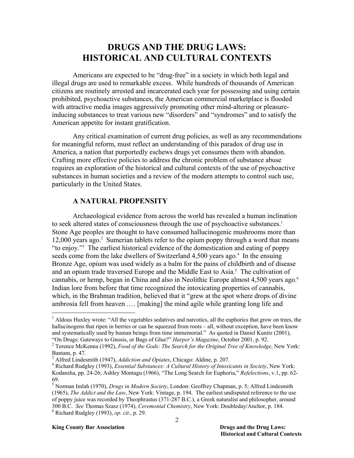## **DRUGS AND THE DRUG LAWS: HISTORICAL AND CULTURAL CONTEXTS**

Americans are expected to be "drug-free" in a society in which both legal and illegal drugs are used to remarkable excess. While hundreds of thousands of American citizens are routinely arrested and incarcerated each year for possessing and using certain prohibited, psychoactive substances, the American commercial marketplace is flooded with attractive media images aggressively promoting other mind-altering or pleasureinducing substances to treat various new "disorders" and "syndromes" and to satisfy the American appetite for instant gratification.

Any critical examination of current drug policies, as well as any recommendations for meaningful reform, must reflect an understanding of this paradox of drug use in America, a nation that purportedly eschews drugs yet consumes them with abandon. Crafting more effective policies to address the chronic problem of substance abuse requires an exploration of the historical and cultural contexts of the use of psychoactive substances in human societies and a review of the modern attempts to control such use, particularly in the United States.

## **A NATURAL PROPENSITY**

Archaeological evidence from across the world has revealed a human inclination to seek altered states of consciousness through the use of psychoactive substances.<sup>1</sup> Stone Age peoples are thought to have consumed hallucinogenic mushrooms more than 12,000 years ago.<sup>2</sup> Sumerian tablets refer to the opium poppy through a word that means "to enjoy."3 The earliest historical evidence of the domestication and eating of poppy seeds come from the lake dwellers of Switzerland  $4,500$  years ago.<sup>4</sup> In the ensuing Bronze Age, opium was used widely as a balm for the pains of childbirth and of disease and an opium trade traversed Europe and the Middle East to Asia.<sup>5</sup> The cultivation of cannabis, or hemp, began in China and also in Neolithic Europe almost 4,500 years ago.<sup>6</sup> Indian lore from before that time recognized the intoxicating properties of cannabis, which, in the Brahman tradition, believed that it "grew at the spot where drops of divine ambrosia fell from heaven .… [making] the mind agile while granting long life and

<sup>&</sup>lt;sup>1</sup> Aldous Huxley wrote: "All the vegetables sedatives and narcotics, all the euphorics that grow on trees, the hallucinogens that ripen in berries or can be squeezed from roots – all, without exception, have been know and systematically used by human beings from time immemorial." As quoted in Daniel Kunitz (2001), "On Drugs: Gateways to Gnosis, or Bags of Glue?" *Harper's Magazine*, October 2001, p. 92.

Terence McKenna (1992), *Food of the Gods: The Search for the Original Tree of Knowledge*, New York: Bantam, p. 47.

<sup>&</sup>lt;sup>3</sup> Alfred Lindesmith (1947), *Addiction and Opiates*, Chicago: Aldine, p. 207.

Richard Rudgley (1993), *Essential Substances: A Cultural History of Intoxicants in Society*, New York: Kodansha, pp. 24-26; Ashley Montagu (1966), "The Long Search for Euphoria," *Refelections*, v.1, pp. 62- 69.

<sup>5</sup> Norman Imlah (1970), *Drugs in Modern Society*, London: Geoffrey Chapman, p. 5; Alfred Lindesmith (1965), *The Addict and the Law*, New York: Vintage, p. 194. The earliest undisputed reference to the use of poppy juice was recorded by Theophrastus (371-287 B.C.), a Greek naturalist and philosopher, around 300 B.C. *See* Thomas Szasz (1974), *Ceremonial Chemistry*, New York: Doubleday/Anchor, p. 184. 6 Richard Rudgley (1993), *op. cit.*, p. 29.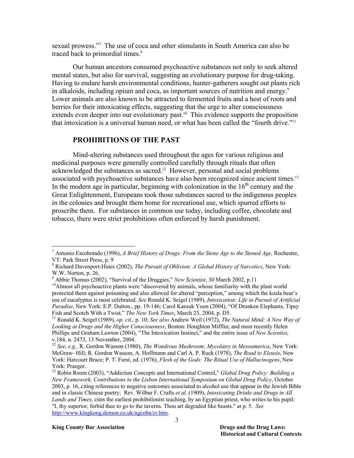sexual prowess."7 The use of coca and other stimulants in South America can also be traced back to primordial times.<sup>8</sup>

Our human ancestors consumed psychoactive substances not only to seek altered mental states, but also for survival, suggesting an evolutionary purpose for drug-taking. Having to endure harsh environmental conditions, hunter-gatherers sought out plants rich in alkaloids, including opium and coca, as important sources of nutrition and energy.<sup>9</sup> Lower animals are also known to be attracted to fermented fruits and a host of roots and berries for their intoxicating effects, suggesting that the urge to alter consciousness extends even deeper into our evolutionary past.<sup>10</sup> This evidence supports the proposition that intoxication is a universal human need, or what has been called the "fourth drive."11

#### **PROHIBITIONS OF THE PAST**

Mind-altering substances used throughout the ages for various religious and medicinal purposes were generally controlled carefully through rituals that often acknowledged the substances as sacred.12 However, personal and social problems associated with psychoactive substances have also been recognized since ancient times.<sup>13</sup> In the modern age in particular, beginning with colonization in the  $16<sup>th</sup>$  century and the Great Enlightenment, Europeans took those substances sacred to the indigenous peoples in the colonies and brought them home for recreational use, which spurred efforts to proscribe them. For substances in common use today, including coffee, chocolate and tobacco, there were strict prohibitions often enforced by harsh punishment.

<sup>7</sup> Antonio Escohotado (1996), *A Brief History of Drugs: From the Stone Age to the Stoned Age,* Rochester, VT: Park Street Press, p. 9

<sup>8</sup> Richard Davenport-Hines (2002), *The Pursuit of Oblivion: A Global History of Narcotics*, New York: W.W. Norton, p. 26.

<sup>&</sup>lt;sup>9</sup> Abbie Thomas (2002), "Survival of the Druggies," New Scientist, 30 March 2002, p.11

<sup>&</sup>lt;sup>10</sup>Almost all psychoactive plants were "discovered by animals, whose familiarity with the plant world protected them against poisoning and also allowed for altered "perception," among which the koala bear's use of eucalyptus is most celebrated. *See* Ronald K. Seigel (1989), *Intoxication: Life in Pursuit of Artificial Paradise*, New York: E.P. Dutton., pp. 19-146; Carol Kaesuk Yoon (2004), "Of Drunken Elephants, Tipsy Fish and Scotch With a Twist," *The New York Times*, March 23, 2004, p. D5.<br><sup>11</sup> Ronald K. Seigel (1989), *op. cit.*, p. 10; *See also* Andrew Weil (1972), *The Natural Mind: A New Way of* 

*Looking at Drugs and the Higher Consciousness*, Boston: Houghton Mifflin; and most recently Helen Phillips and Graham Lawton (2004), "The Intoxication Instinct," and the entire issue of *New Scientist*, v.184, n. 2473, 13 November, 2004.

<sup>12</sup> *See*, *e.g.,* R. Gordon Wasson (1980), *The Wondrous Mushroom: Mycolatry in Mesoamerica*, New York: McGraw- Hill; R. Gordon Wasson, A. Hoffmann and Carl A. P. Ruck (1978), *The Road to Eleusis*, New York: Harcourt Brace; P. T. Furst, ed. (1976), *Flesh of the Gods: The Ritual Use of Hallucinogens*, New York: Praeger.

<sup>&</sup>lt;sup>13</sup> Robin Room (2003), "Addiction Concepts and International Control," *Global Drug Policy: Building a New Framework, Contributions to the Lisbon International Symposium on Global Drug Policy*, October 2003, p. 16, citing references to negative outcomes associated to alcohol use that appear in the Jewish Bible and in classic Chinese poetry; Rev. Wilbur F. Crafts *et al.* (1909), *Intoxicating Drinks and Drugs in All Lands and Times*, cites the earliest prohibitionist teaching, by an Egyptian priest, who writes to his pupil: "I, thy superior, forbid thee to go to the taverns. Thou art degraded like beasts." at p. 5. *See* [http://www.kingkong.demon.co.uk/ngcoba/cr.htm.](http://www.kingkong.demon.co.uk/ngcoba/cr.htm)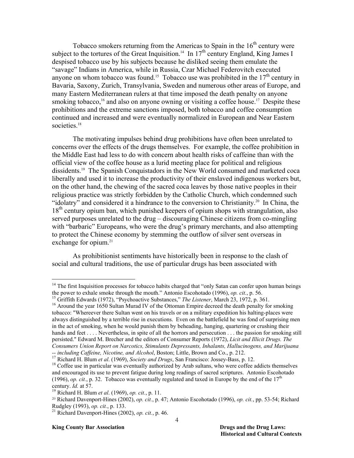Tobacco smokers returning from the Americas to Spain in the  $16<sup>th</sup>$  century were subject to the tortures of the Great Inquisition.<sup>14</sup> In  $17<sup>th</sup>$  century England, King James I despised tobacco use by his subjects because he disliked seeing them emulate the "savage" Indians in America, while in Russia, Czar Michael Federovitch executed anyone on whom tobacco was found.<sup>15</sup> Tobacco use was prohibited in the  $17<sup>th</sup>$  century in Bavaria, Saxony, Zurich, Transylvania, Sweden and numerous other areas of Europe, and many Eastern Mediterranean rulers at that time imposed the death penalty on anyone smoking tobacco,<sup>16</sup> and also on anyone owning or visiting a coffee house.<sup>17</sup> Despite these prohibitions and the extreme sanctions imposed, both tobacco and coffee consumption continued and increased and were eventually normalized in European and Near Eastern societies.<sup>18</sup>

The motivating impulses behind drug prohibitions have often been unrelated to concerns over the effects of the drugs themselves. For example, the coffee prohibition in the Middle East had less to do with concern about health risks of caffeine than with the official view of the coffee house as a lurid meeting place for political and religious dissidents.19 The Spanish Conquistadors in the New World consumed and marketed coca liberally and used it to increase the productivity of their enslaved indigenous workers but, on the other hand, the chewing of the sacred coca leaves by those native peoples in their religious practice was strictly forbidden by the Catholic Church, which condemned such "idolatry" and considered it a hindrance to the conversion to Christianity.<sup>20</sup> In China, the  $18<sup>th</sup>$  century opium ban, which punished keepers of opium shops with strangulation, also served purposes unrelated to the drug – discouraging Chinese citizens from co-mingling with "barbaric" Europeans, who were the drug's primary merchants, and also attempting to protect the Chinese economy by stemming the outflow of silver sent overseas in exchange for opium.<sup>21</sup>

As prohibitionist sentiments have historically been in response to the clash of social and cultural traditions, the use of particular drugs has been associated with

#### **King County Bar Association Drugs and the Drug Laws: Drugs and the Drug Laws:**

<sup>&</sup>lt;sup>14</sup> The first Inquisition processes for tobacco habits charged that "only Satan can confer upon human beings the power to exhale smoke through the mouth." Antonio Escohotado (1996), *op. cit.*, p. 56.

<sup>&</sup>lt;sup>15</sup> Griffith Edwards (1972), "Psychoactive Substances," *The Listener*, March 23, 1972, p. 361.<br><sup>16</sup> Around the year 1650 Sultan Murad IV of the Ottoman Empire decreed the death penalty for smoking

tobacco: "Whereever there Sultan went on his travels or on a military expedition his halting-places were always distinguished by a terrible rise in executions. Even on the battlefield he was fond of surprising men in the act of smoking, when he would punish them by beheading, hanging, quartering or crushing their hands and feet . . . . Nevertheless, in spite of all the horrors and persecution . . . the passion for smoking still persisted." Edward M. Brecher and the editors of Consumer Reports (1972), *Licit and Illicit Drugs. The Consumers Union Report on Narcotics, Stimulants Depressants, Inhalants, Hallucinogens, and Marijuana* 

<sup>--</sup> including Caffeine, Nicotine, and Alcohol, Boston; Little, Brown and Co., p. 212.<br><sup>17</sup> Richard H. Blum *et al.* (1969), *Society and Drugs*, San Francisco: Jossey-Bass, p. 12.<br><sup>18</sup> Coffee use in particular was eventuall and encouraged its use to prevent fatigue during long readings of sacred scriptures. Antonio Escohotado (1996), *op. cit.*, p. 32. Tobacco was eventually regulated and taxed in Europe by the end of the  $17<sup>th</sup>$ 

century. *Id.* at 57. 19 Richard H. Blum *et al*. (1969), *op. cit.*, p. 11.

<sup>20</sup> Richard Davenport-Hines (2002), *op. cit.*, p. 47; Antonio Escohotado (1996), *op. cit.*, pp. 53-54; Richard Rudgley (1993), *op. cit.*, p. 133. 21 Richard Davenport-Hines (2002), *op. cit.*, p. 46.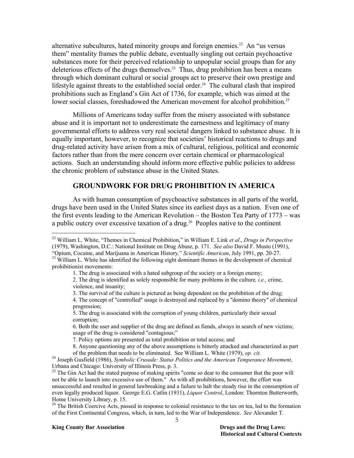alternative subcultures, hated minority groups and foreign enemies.<sup>22</sup> An "us versus them" mentality frames the public debate, eventually singling out certain psychoactive substances more for their perceived relationship to unpopular social groups than for any deleterious effects of the drugs themselves.<sup>23</sup> Thus, drug prohibition has been a means through which dominant cultural or social groups act to preserve their own prestige and lifestyle against threats to the established social order.<sup>24</sup> The cultural clash that inspired prohibitions such as England's Gin Act of 1736, for example, which was aimed at the lower social classes, foreshadowed the American movement for alcohol prohibition.<sup>25</sup>

Millions of Americans today suffer from the misery associated with substance abuse and it is important not to underestimate the earnestness and legitimacy of many governmental efforts to address very real societal dangers linked to substance abuse. It is equally important, however, to recognize that societies' historical reactions to drugs and drug-related activity have arisen from a mix of cultural, religious, political and economic factors rather than from the mere concern over certain chemical or pharmacological actions. Such an understanding should inform more effective public policies to address the chronic problem of substance abuse in the United States.

### **GROUNDWORK FOR DRUG PROHIBITION IN AMERICA**

As with human consumption of psychoactive substances in all parts of the world, drugs have been used in the United States since its earliest days as a nation. Even one of the first events leading to the American Revolution – the Boston Tea Party of 1773 – was a public outcry over excessive taxation of a drug.<sup>26</sup> Peoples native to the continent

<sup>22</sup> William L. White, "Themes in Chemical Prohibition," in William E. Link *et al*., *Drugs in Perspective* (1979), Washington, D.C.: National Institute on Drug Abuse, p. 171. *See also* David F. Musto (1991),

<sup>&</sup>lt;sup>23</sup> William L. White has identified the following eight dominant themes in the development of chemical prohibitionist movements:

<sup>1.</sup> The drug is associated with a hated subgroup of the society or a foreign enemy;

<sup>2.</sup> The drug is identified as solely responsible for many problems in the culture*, i.e.,* crime, violence, and insanity;

<sup>3.</sup> The survival of the culture is pictured as being dependent on the prohibition of the drug;

<sup>4.</sup> The concept of "controlled" usage is destroyed and replaced by a "domino theory" of chemical progression;

<sup>5.</sup> The drug is associated with the corruption of young children, particularly their sexual corruption;

<sup>6.</sup> Both the user and supplier of the drug are defined as fiends, always in search of new victims; usage of the drug is considered "contagious;"

<sup>7.</sup> Policy options are presented as total prohibition or total access; and

<sup>8.</sup> Anyone questioning any of the above assumptions is bitterly attacked and characterized as part

of the problem that needs to be eliminated. See William L. White (1979), *op. cit.* 24 Joseph Gusfield (1986), *Symbolic Crusade: Status Politics and the American Temperance Movement*, Urbana and Chicago: University of Illinois Press, p. 3.

<sup>&</sup>lt;sup>25</sup> The Gin Act had the stated purpose of making spirits "come so dear to the consumer that the poor will not be able to launch into excessive use of them." As with all prohibitions, however, the effort was unsuccessful and resulted in general lawbreaking and a failure to halt the steady rise in the consumption of even legally produced liquor. George E.G. Catlin (1931), *Liquor Control*, London: Thornton Butterworth, Home University Library, p. 15.

<sup>&</sup>lt;sup>26</sup> The British Coercive Acts, passed in response to colonial resistance to the tax on tea, led to the formation of the First Continental Congress, which, in turn, led to the War of Independence. *See* Alexander T.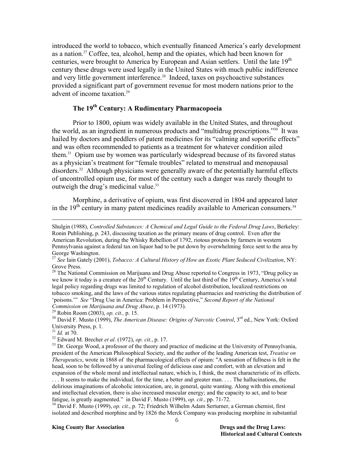introduced the world to tobacco, which eventually financed America's early development as a nation.<sup>27</sup> Coffee, tea, alcohol, hemp and the opiates, which had been known for centuries, were brought to America by European and Asian settlers. Until the late 19<sup>th</sup> century these drugs were used legally in the United States with much public indifference and very little government interference.<sup>28</sup> Indeed, taxes on psychoactive substances provided a significant part of government revenue for most modern nations prior to the advent of income taxation.<sup>29</sup>

## **The 19th Century: A Rudimentary Pharmacopoeia**

Prior to 1800, opium was widely available in the United States, and throughout the world, as an ingredient in numerous products and "multidrug prescriptions."30 It was hailed by doctors and peddlers of patent medicines for its "calming and soporific effects" and was often recommended to patients as a treatment for whatever condition ailed them.31 Opium use by women was particularly widespread because of its favored status as a physician's treatment for "female troubles" related to menstrual and menopausal disorders.<sup>32</sup> Although physicians were generally aware of the potentially harmful effects of uncontrolled opium use, for most of the century such a danger was rarely thought to outweigh the drug's medicinal value.<sup>33</sup>

Morphine, a derivative of opium, was first discovered in 1804 and appeared later in the  $19<sup>th</sup>$  century in many patent medicines readily available to American consumers.<sup>34</sup>

<sup>29</sup> Robin Room (2003), *op. cit.*, p. 15.<br><sup>30</sup> David F. Musto (1999), *The American Disease: Origins of Narcotic Control*, 3<sup>rd</sup> ed., New York: Oxford University Press, p. 1.<br> $^{31}$  *Id.* at 70.

-

<sup>32</sup> Edward M. Brecher *et al.* (1972), *op. cit.*, p. 17.<br><sup>33</sup> Dr. George Wood, a professor of the theory and practice of medicine at the University of Pennsylvania, president of the American Philosophical Society, and the author of the leading American test, *Treatise on Therapeutics*, wrote in 1868 of the pharmacological effects of opium: "A sensation of fullness is felt in the head, soon to be followed by a universal feeling of delicious ease and comfort, with an elevation and expansion of the whole moral and intellectual nature, which is, I think, the most characteristic of its effects.

. . . It seems to make the individual, for the time, a better and greater man. . . . The hallucinations, the delirious imaginations of alcoholic intoxication, are, in general, quite wanting. Along with this emotional and intellectual elevation, there is also increased muscular energy; and the capacity to act, and to bear fatigue, is greatly augmented." in David F. Musto (1999), *op. cit.*, pp. 71-72. 34 David F. Musto (1999), *op. cit.*, p. 72; Friedrich Wilhelm Adam Serturner, a German chemist, first

isolated and described morphine and by 1826 the Merck Company was producing morphine in substantial

Shulgin (1988), *Controlled Substances: A Chemical and Legal Guide to the Federal Drug Laws*, Berkeley: Ronin Publishing, p. 243, discussing taxation as the primary means of drug control. Even after the American Revolution, during the Whisky Rebellion of 1792, riotous protests by farmers in western Pennsylvania against a federal tax on liquor had to be put down by overwhelming force sent to the area by George Washington.

<sup>27</sup> *See* Iain Gately (2001), *Tobacco: A Cultural History of How an Exotic Plant Seduced Civilization*, NY: Grove Press.

<sup>&</sup>lt;sup>28</sup> The National Commission on Marijuana and Drug Abuse reported to Congress in 1973, "Drug policy as we know it today is a creature of the 20<sup>th</sup> Century. Until the last third of the 19<sup>th</sup> Century, America's total legal policy regarding drugs was limited to regulation of alcohol distribution, localized restrictions on tobacco smoking, and the laws of the various states regulating pharmacies and restricting the distribution of 'poisons.'" *See* "Drug Use in America: Problem in Perspective," *Second Report of the National*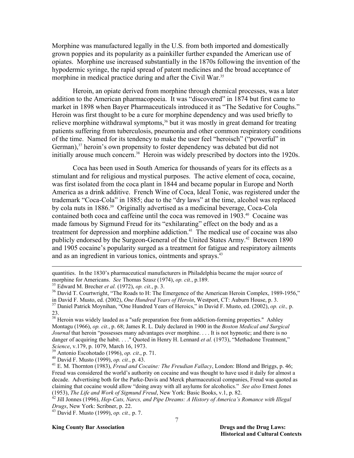Morphine was manufactured legally in the U.S. from both imported and domestically grown poppies and its popularity as a painkiller further expanded the American use of opiates. Morphine use increased substantially in the 1870s following the invention of the hypodermic syringe, the rapid spread of patent medicines and the broad acceptance of morphine in medical practice during and after the Civil War.<sup>35</sup>

Heroin, an opiate derived from morphine through chemical processes, was a later addition to the American pharmacopoeia. It was "discovered" in 1874 but first came to market in 1898 when Bayer Pharmaceuticals introduced it as "The Sedative for Coughs." Heroin was first thought to be a cure for morphine dependency and was used briefly to relieve morphine withdrawal symptoms,<sup>36</sup> but it was mostly in great demand for treating patients suffering from tuberculosis, pneumonia and other common respiratory conditions of the time. Named for its tendency to make the user feel "heroisch" ("powerful" in German),<sup>37</sup> heroin's own propensity to foster dependency was debated but did not initially arouse much concern.<sup>38</sup> Heroin was widely prescribed by doctors into the 1920s.

 Coca has been used in South America for thousands of years for its effects as a stimulant and for religious and mystical purposes. The active element of coca, cocaine, was first isolated from the coca plant in 1844 and became popular in Europe and North America as a drink additive. French Wine of Coca, Ideal Tonic, was registered under the trademark "Coca-Cola" in 1885; due to the "dry laws" at the time, alcohol was replaced by cola nuts in 1886.39 Originally advertised as a medicinal beverage, Coca-Cola contained both coca and caffeine until the coca was removed in 1903.<sup>40</sup> Cocaine was made famous by Sigmund Freud for its "exhilarating" effect on the body and as a treatment for depression and morphine addiction.<sup>41</sup> The medical use of cocaine was also publicly endorsed by the Surgeon-General of the United States Army.<sup>42</sup> Between 1890 and 1905 cocaine's popularity surged as a treatment for fatigue and respiratory ailments and as an ingredient in various tonics, ointments and sprays.<sup>43</sup>

 $\overline{a}$ 

#### **King County Bar Association Drugs and the Drug Laws: Drugs and the Drug Laws:**

quantities. In the 1830's pharmaceutical manufacturers in Philadelphia became the major source of morphine for Americans. *See* Thomas Szasz (1974), *op. cit.*, p.189.<br><sup>35</sup> Edward M. Brecher *et al.* (1972), *op. cit.*, p. 3.<br><sup>36</sup> David T. Courtwright, "The Roads to H: The Emergence of the American Heroin Complex, 1989

in David F. Musto, ed. (2002), *One Hundred Years of Heroin*, Westport, CT: Auburn House, p. 3. 37 Daniel Patrick Moynihan, "One Hundred Years of Heroics," in David F. Musto, ed. (2002), *op. cit.,* p. 23.

<sup>&</sup>lt;sup>38</sup> Heroin was widely lauded as a "safe preparation free from addiction-forming properties." Ashley Montagu (1966), *op. cit.*, p. 68; James R. L. Daly declared in 1900 in the *Boston Medical and Surgical Journal* that heroin "possesses many advantages over morphine. . . . It is not hypnotic; and there is no danger of acquiring the habit. . . . " Quoted in Henry H. Lennard *et al.* (1973), "Methadone Treatment,"

Science, v.179, p. 1079, March 16, 1973.<br><sup>39</sup> Antonio Escohotado (1996), *op. cit.*, p. 71.<br><sup>40</sup> David F. Musto (1999), *op. cit.*, p. 43.<br><sup>41</sup> E. M. Thornton (1983), *Freud and Cocaine: The Freudian Fallacy*, London: Blo Freud was considered the world's authority on cocaine and was thought to have used it daily for almost a decade. Advertising both for the Parke-Davis and Merck pharmaceutical companies, Freud was quoted as claiming that cocaine would allow "doing away with all asylums for alcoholics." *See also* Ernest Jones

<sup>&</sup>lt;sup>42</sup> Jill Jonnes (1996), *Hep-Cats, Narcs, and Pipe Dreams: A History of America's Romance with Illegal Drugs*, New York: Scribner, p. 22. 43 David F. Musto (1999), *op. cit.,* p. 7.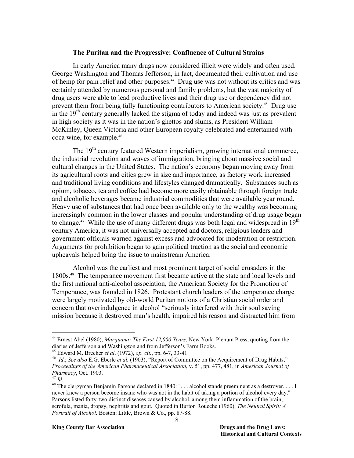#### **The Puritan and the Progressive: Confluence of Cultural Strains**

In early America many drugs now considered illicit were widely and often used. George Washington and Thomas Jefferson, in fact, documented their cultivation and use of hemp for pain relief and other purposes.<sup>44</sup> Drug use was not without its critics and was certainly attended by numerous personal and family problems, but the vast majority of drug users were able to lead productive lives and their drug use or dependency did not prevent them from being fully functioning contributors to American society.45 Drug use in the  $19<sup>th</sup>$  century generally lacked the stigma of today and indeed was just as prevalent in high society as it was in the nation's ghettos and slums, as President William McKinley, Queen Victoria and other European royalty celebrated and entertained with coca wine, for example.46

The 19<sup>th</sup> century featured Western imperialism, growing international commerce, the industrial revolution and waves of immigration, bringing about massive social and cultural changes in the United States. The nation's economy began moving away from its agricultural roots and cities grew in size and importance, as factory work increased and traditional living conditions and lifestyles changed dramatically. Substances such as opium, tobacco, tea and coffee had become more easily obtainable through foreign trade and alcoholic beverages became industrial commodities that were available year round. Heavy use of substances that had once been available only to the wealthy was becoming increasingly common in the lower classes and popular understanding of drug usage began to change.<sup>47</sup> While the use of many different drugs was both legal and widespread in  $19<sup>th</sup>$ century America, it was not universally accepted and doctors, religious leaders and government officials warned against excess and advocated for moderation or restriction. Arguments for prohibition began to gain political traction as the social and economic upheavals helped bring the issue to mainstream America.

 Alcohol was the earliest and most prominent target of social crusaders in the 1800s.48 The temperance movement first became active at the state and local levels and the first national anti-alcohol association, the American Society for the Promotion of Temperance, was founded in 1826. Protestant church leaders of the temperance charge were largely motivated by old-world Puritan notions of a Christian social order and concern that overindulgence in alcohol "seriously interfered with their soul saving mission because it destroyed man's health, impaired his reason and distracted him from

<sup>44</sup> Ernest Abel (1980), *Marijuana: The First 12,000 Years*, New York: Plenum Press, quoting from the diaries of Jefferson and Washington and from Jefferson's Farm Books.<br><sup>45</sup> Edward M. Brecher *et al.* (1972), *op. cit.*, pp. 6-7, 33-41.

<sup>&</sup>lt;sup>46</sup> Id.; See also E.G. Eberle et al. (1903), "Report of Committee on the Acquirement of Drug Habits," *Proceedings of the American Pharmaceutical Association*, v. 51, pp. 477, 481, in *American Journal of Pharmacy*, Oct. 1903.<br><sup>47</sup> *Id.* 48 The clergyman Benjamin Parsons declared in 1840: "... alcohol stands preeminent as a destroyer.... I

never knew a person become insane who was not in the habit of taking a portion of alcohol every day." Parsons listed forty-two distinct diseases caused by alcohol, among them inflammation of the brain, scrofula, mania, dropsy, nephritis and gout. Quoted in Burton Roueche (1960), *The Neutral Spirit: A Portrait of Alcohol,* Boston: Little, Brown & Co., pp. 87-88.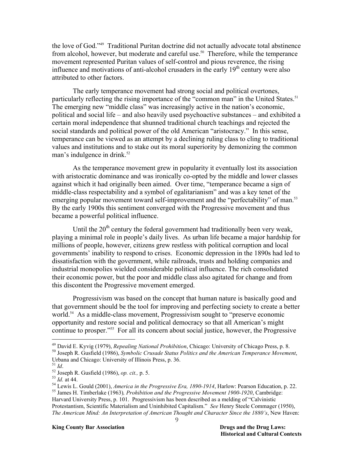the love of God."49 Traditional Puritan doctrine did not actually advocate total abstinence from alcohol, however, but moderate and careful use.<sup>50</sup> Therefore, while the temperance movement represented Puritan values of self-control and pious reverence, the rising influence and motivations of anti-alcohol crusaders in the early  $19<sup>th</sup>$  century were also attributed to other factors.

 The early temperance movement had strong social and political overtones, particularly reflecting the rising importance of the "common man" in the United States.<sup>51</sup> The emerging new "middle class" was increasingly active in the nation's economic, political and social life – and also heavily used psychoactive substances – and exhibited a certain moral independence that shunned traditional church teachings and rejected the social standards and political power of the old American "aristocracy." In this sense, temperance can be viewed as an attempt by a declining ruling class to cling to traditional values and institutions and to stake out its moral superiority by demonizing the common man's indulgence in drink.<sup>52</sup>

As the temperance movement grew in popularity it eventually lost its association with aristocratic dominance and was ironically co-opted by the middle and lower classes against which it had originally been aimed. Over time, "temperance became a sign of middle-class respectability and a symbol of egalitarianism" and was a key tenet of the emerging popular movement toward self-improvement and the "perfectability" of man.<sup>53</sup> By the early 1900s this sentiment converged with the Progressive movement and thus became a powerful political influence.

Until the  $20<sup>th</sup>$  century the federal government had traditionally been very weak, playing a minimal role in people's daily lives. As urban life became a major hardship for millions of people, however, citizens grew restless with political corruption and local governments' inability to respond to crises. Economic depression in the 1890s had led to dissatisfaction with the government, while railroads, trusts and holding companies and industrial monopolies wielded considerable political influence. The rich consolidated their economic power, but the poor and middle class also agitated for change and from this discontent the Progressive movement emerged.

Progressivism was based on the concept that human nature is basically good and that government should be the tool for improving and perfecting society to create a better world.<sup>54</sup> As a middle-class movement, Progressivism sought to "preserve economic opportunity and restore social and political democracy so that all American's might continue to prosper."55 For all its concern about social justice, however, the Progressive

<sup>&</sup>lt;sup>49</sup> David E. Kyvig (1979), *Repealing National Prohibition*, Chicago: University of Chicago Press, p. 8.<br><sup>50</sup> Joseph R. Gusfield (1986), *Symbolic Crusade Status Politics and the American Temperance Movement*,

Urbana and Chicago: University of Illinois Press, p. 36.<br><sup>51</sup> *Id*.

<sup>&</sup>lt;sup>52</sup> Joseph R. Gusfield (1986), *op. cit.*, p. 5.<br><sup>53</sup> *Id.* at 44.<br><sup>54</sup> Lewis L. Gould (2001), *America in the Progressive Era, 1890-1914*, Harlow: Pearson Education, p. 22.<br><sup>55</sup> James H. Timberlake (1963), *Prohibition* 

Harvard University Press, p. 101. Progressivism has been described as a melding of "Calvinistic Protestantism, Scientific Materialism and Uninhibited Capitalism." *See* Henry Steele Commager (1950), *The American Mind: An Interpretation of American Thought and Character Since the 1880's*, New Haven: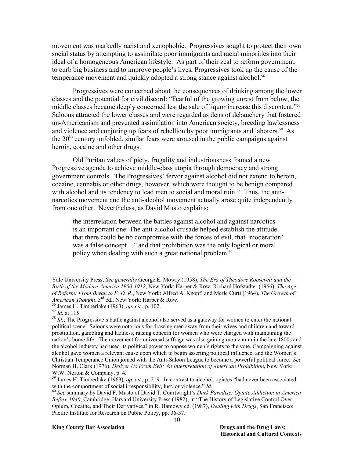movement was markedly racist and xenophobic. Progressives sought to protect their own social status by attempting to assimilate poor immigrants and racial minorities into their ideal of a homogeneous American lifestyle. As part of their zeal to reform government, to curb big business and to improve people's lives, Progressives took up the cause of the temperance movement and quickly adopted a strong stance against alcohol.<sup>56</sup>

Progressives were concerned about the consequences of drinking among the lower classes and the potential for civil discord: "Fearful of the growing unrest from below, the middle classes became deeply concerned lest the sale of liquor increase this discontent."<sup>57</sup> Saloons attracted the lower classes and were regarded as dens of debauchery that fostered un-Americanism and prevented assimilation into American society, breeding lawlessness and violence and conjuring up fears of rebellion by poor immigrants and laborers.<sup>58</sup> As the 20<sup>th</sup> century unfolded, similar fears were aroused in the public campaigns against heroin, cocaine and other drugs.

Old Puritan values of piety, frugality and industriousness framed a new Progressive agenda to achieve middle-class utopia through democracy and strong government controls. The Progressives' fervor against alcohol did not extend to heroin, cocaine, cannabis or other drugs, however, which were thought to be benign compared with alcohol and its tendency to lead men to social and moral ruin.<sup>59</sup> Thus, the antinarcotics movement and the anti-alcohol movement actually arose quite independently from one other. Nevertheless, as David Musto explains:

the interrelation between the battles against alcohol and against narcotics is an important one. The anti-alcohol crusade helped establish the attitude that there could be no compromise with the forces of evil, that 'moderation' was a false concept…" and that prohibition was the only logical or moral policy when dealing with such a great national problem.<sup>60</sup>

 $\overline{a}$ 

#### **King County Bar Association Drugs and the Drug Laws: Drugs and the Drug Laws:**

Yale University Press; *See generally* George E. Mowry (1958), *The Era of Theodore Roosevelt and the Birth of the Modern America 1900-1912*, New York: Harper & Row; Richard Hofstadter (1966), *The Age of Reform: From Bryan to F. D. R*., New York: Alfred A. Knopf; and Merle Curti (1964), *The Growth of American Thought*,  $3^{rd}$  ed., New York: Harper & Row.<br><sup>56</sup> James H. Timberlake (1963), *op. cit.*, p. 102.<br><sup>57</sup> *Id.* at 115.<br><sup>58</sup> *Id.*; The Progressive's battle against alcohol also served as a gateway for women to en

political scene. Saloons were notorious for drawing men away from their wives and children and toward prostitution, gambling and laziness, raising concern for women who were charged with maintaining the nation's home life. The movement for universal suffrage was also gaining momentum in the late 1800s and the alcohol industry had used its political power to oppose women's rights to the vote. Campaigning against alcohol gave women a relevant cause upon which to begin asserting political influence, and the Women's Christian Temperance Union joined with the Anti-Saloon League to become a powerful political force. *See*  Norman H. Clark (1976), *Deliver Us From Evil: An Interpretation of American Prohibition*, New York: W.W. Norton & Company, p. 4.

<sup>&</sup>lt;sup>59</sup> James H. Timberlake (1963), *op. cit.*, p. 219. In contrast to alcohol, opiates "had never been associated with the comportment of social irresponsibility, lust, or violence." *Id*.

with the comportment of social interpretations,  $\frac{1}{2}$ ,  $\frac{1}{2}$ ,  $\frac{1}{2}$ ,  $\frac{1}{2}$ ,  $\frac{1}{2}$ ,  $\frac{1}{2}$ ,  $\frac{1}{2}$ ,  $\frac{1}{2}$ ,  $\frac{1}{2}$ ,  $\frac{1}{2}$ ,  $\frac{1}{2}$ ,  $\frac{1}{2}$ ,  $\frac{1}{2}$ ,  $\frac{1}{2}$ ,  $\frac{1}{2}$ ,  $\frac{1}{2}$ *Before 1940*, Cambridge: Harvard University Press (1982), in "The History of Legislative Control Over Opium, Cocaine, and Their Derivatives," in R. Hamowy ed. (1987), *Dealing with Drugs*, San Francisco: Pacific Institute for Research on Public Policy, pp. 36-37.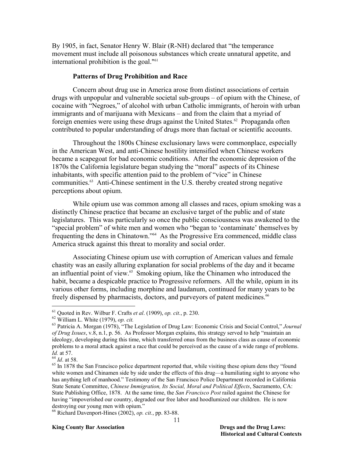By 1905, in fact, Senator Henry W. Blair (R-NH) declared that "the temperance movement must include all poisonous substances which create unnatural appetite, and international prohibition is the goal."61

#### **Patterns of Drug Prohibition and Race**

Concern about drug use in America arose from distinct associations of certain drugs with unpopular and vulnerable societal sub-groups – of opium with the Chinese, of cocaine with "Negroes," of alcohol with urban Catholic immigrants, of heroin with urban immigrants and of marijuana with Mexicans – and from the claim that a myriad of foreign enemies were using these drugs against the United States.<sup>62</sup> Propaganda often contributed to popular understanding of drugs more than factual or scientific accounts.

Throughout the 1800s Chinese exclusionary laws were commonplace, especially in the American West, and anti-Chinese hostility intensified when Chinese workers became a scapegoat for bad economic conditions. After the economic depression of the 1870s the California legislature began studying the "moral" aspects of its Chinese inhabitants, with specific attention paid to the problem of "vice" in Chinese communities.63 Anti-Chinese sentiment in the U.S. thereby created strong negative perceptions about opium.

While opium use was common among all classes and races, opium smoking was a distinctly Chinese practice that became an exclusive target of the public and of state legislatures. This was particularly so once the public consciousness was awakened to the "special problem" of white men and women who "began to 'contaminate' themselves by frequenting the dens in Chinatown."64 As the Progressive Era commenced, middle class America struck against this threat to morality and social order.

Associating Chinese opium use with corruption of American values and female chastity was an easily alluring explanation for social problems of the day and it became an influential point of view.<sup>65</sup> Smoking opium, like the Chinamen who introduced the habit, became a despicable practice to Progressive reformers. All the while, opium in its various other forms, including morphine and laudanum, continued for many years to be freely dispensed by pharmacists, doctors, and purveyors of patent medicines.<sup>66</sup>

 $<sup>61</sup>$  Quoted in Rev. Wilbur F. Crafts *et al.* (1909), *op. cit.*, p. 230.</sup>

<sup>&</sup>lt;sup>61</sup> Quoted in Rev. Wilbur F. Crafts *et al.* (1909), *op. cit.*, p. 230.<br><sup>62</sup> William L. White (1979), *op. cit.*<br><sup>63</sup> Patricia A. Morgan (1978), "The Legislation of Drug Law: Economic Crisis and Social Control," Journal *of Drug Issues*, v.8, n.1, p. 56. As Professor Morgan explains, this strategy served to help "maintain an ideology, developing during this time, which transferred onus from the business class as cause of economic problems to a moral attack against a race that could be perceived as the cause of a wide range of problems. *Id.* at 57.<br><sup>64</sup> *Id.* at 58.<br><sup>65</sup> In 1878 the San Francisco police department reported that, while visiting these opium dens they "found"

white women and Chinamen side by side under the effects of this drug—a humiliating sight to anyone who has anything left of manhood." Testimony of the San Francisco Police Department recorded in California State Senate Committee, *Chinese Immigration, Its Social, Moral and Political Effects*, Sacramento, CA: State Publishing Office, 1878. At the same time, the *San Francisco Post* railed against the Chinese for having "impoverished our country, degraded our free labor and hoodlumized our children. He is now destroying our young men with opium."

<sup>66</sup> Richard Davenport-Hines (2002), *op. cit.*, pp. 83-88.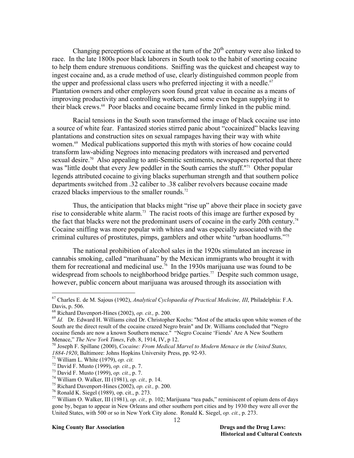Changing perceptions of cocaine at the turn of the  $20<sup>th</sup>$  century were also linked to race. In the late 1800s poor black laborers in South took to the habit of snorting cocaine to help them endure strenuous conditions. Sniffing was the quickest and cheapest way to ingest cocaine and, as a crude method of use, clearly distinguished common people from the upper and professional class users who preferred injecting it with a needle.<sup>67</sup> Plantation owners and other employers soon found great value in cocaine as a means of improving productivity and controlling workers, and some even began supplying it to their black crews.68 Poor blacks and cocaine became firmly linked in the public mind.

 Racial tensions in the South soon transformed the image of black cocaine use into a source of white fear. Fantasized stories stirred panic about "cocainized" blacks leaving plantations and construction sites on sexual rampages having their way with white women.<sup>69</sup> Medical publications supported this myth with stories of how cocaine could transform law-abiding Negroes into menacing predators with increased and perverted sexual desire.<sup>70</sup> Also appealing to anti-Semitic sentiments, newspapers reported that there was "little doubt that every Jew peddler in the South carries the stuff."<sup>71</sup> Other popular legends attributed cocaine to giving blacks superhuman strength and that southern police departments switched from .32 caliber to .38 caliber revolvers because cocaine made crazed blacks impervious to the smaller rounds.<sup>72</sup>

Thus, the anticipation that blacks might "rise up" above their place in society gave rise to considerable white alarm.<sup>73</sup> The racist roots of this image are further exposed by the fact that blacks were not the predominant users of cocaine in the early 20th century.<sup>74</sup> Cocaine sniffing was more popular with whites and was especially associated with the criminal cultures of prostitutes, pimps, gamblers and other white "urban hoodlums."75

The national prohibition of alcohol sales in the 1920s stimulated an increase in cannabis smoking, called "marihuana" by the Mexican immigrants who brought it with them for recreational and medicinal use.76 In the 1930s marijuana use was found to be widespread from schools to neighborhood bridge parties.<sup>77</sup> Despite such common usage, however, public concern about marijuana was aroused through its association with

 $\overline{a}$ 

#### **King County Bar Association Drugs and the Drug Laws: Drugs and the Drug Laws:**

<sup>67</sup> Charles E. de M. Sajous (1902), *Analytical Cyclopaedia of Practical Medicine, III*, Philadelphia: F.A. Davis, p. 506.<br>
<sup>68</sup> Richard Davenport-Hines (2002), *op. cit.*, p. 200.

<sup>&</sup>lt;sup>69</sup> Id. Dr. Edward H. Williams cited Dr. Christopher Kochs: "Most of the attacks upon white women of the South are the direct result of the cocaine crazed Negro brain" and Dr. Williams concluded that "Negro cocaine fiends are now a known Southern menace." "Negro Cocaine 'Fiends' Are A New Southern Menace," The New York Times, Feb. 8, 1914, IV, p 12.

<sup>&</sup>lt;sup>70</sup> Joseph F. Spillane (2000), *Cocaine: From Medical Marvel to Modern Menace in the United States, 1884-1920*, Baltimore: Johns Hopkins University Press, pp. 92-93.

<sup>&</sup>lt;sup>71</sup> William L. White (1979), *op. cit.*<br>
<sup>72</sup> David F. Musto (1999), *op. cit.*, p. 7.<br>
<sup>73</sup> David F. Musto (1999), *op. cit.*, p. 7.<br>
<sup>74</sup> William O. Walker, III (1981), *op. cit.*, p. 14.<br>
<sup>75</sup> Richard Davenport-Hines gone by, began to appear in New Orleans and other southern port cities and by 1930 they were all over the United States, with 500 or so in New York City alone. Ronald K. Siegel, *op. cit.*, p. 273.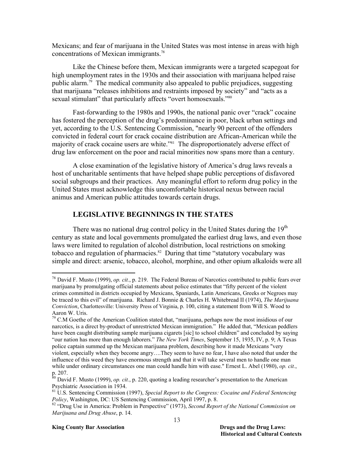Mexicans; and fear of marijuana in the United States was most intense in areas with high concentrations of Mexican immigrants.78

Like the Chinese before them, Mexican immigrants were a targeted scapegoat for high unemployment rates in the 1930s and their association with marijuana helped raise public alarm.<sup>79</sup> The medical community also appealed to public prejudices, suggesting that marijuana "releases inhibitions and restraints imposed by society" and "acts as a sexual stimulant" that particularly affects "overt homosexuals."<sup>80</sup>

Fast-forwarding to the 1980s and 1990s, the national panic over "crack" cocaine has fostered the perception of the drug's predominance in poor, black urban settings and yet, according to the U.S. Sentencing Commission, "nearly 90 percent of the offenders convicted in federal court for crack cocaine distribution are African-American while the majority of crack cocaine users are white."81 The disproportionately adverse effect of drug law enforcement on the poor and racial minorities now spans more than a century.

A close examination of the legislative history of America's drug laws reveals a host of uncharitable sentiments that have helped shape public perceptions of disfavored social subgroups and their practices. Any meaningful effort to reform drug policy in the United States must acknowledge this uncomfortable historical nexus between racial animus and American public attitudes towards certain drugs.

## **LEGISLATIVE BEGINNINGS IN THE STATES**

There was no national drug control policy in the United States during the  $19<sup>th</sup>$ century as state and local governments promulgated the earliest drug laws, and even those laws were limited to regulation of alcohol distribution, local restrictions on smoking tobacco and regulation of pharmacies.<sup>82</sup> During that time "statutory vocabulary was simple and direct: arsenic, tobacco, alcohol, morphine, and other opium alkaloids were all

#### **King County Bar Association Drugs and the Drug Laws:**

<u>.</u>

<sup>78</sup> David F. Musto (1999), *op. cit.*, p. 219. The Federal Bureau of Narcotics contributed to public fears over marijuana by promulgating official statements about police estimates that "fifty percent of the violent crimes committed in districts occupied by Mexicans, Spaniards, Latin Americans, Greeks or Negroes may be traced to this evil" of marijuana. Richard J. Bonnie & Charles H. Whitebread II (1974), *The Marijuana Conviction*, Charlottesville: University Press of Virginia, p. 100, citing a statement from Will S. Wood to Aaron W. Uris.

 $79$  C.M Goethe of the American Coalition stated that, "marijuana, perhaps now the most insidious of our narcotics, is a direct by-product of unrestricted Mexican immigration." He added that, "Mexican peddlers have been caught distributing sample marijuana cigarets [sic] to school children" and concluded by saying "our nation has more than enough laborers." *The New York Times*, September 15, 1935, IV, p. 9; A Texas police captain summed up the Mexican marijuana problem, describing how it made Mexicans "very violent, especially when they become angry….They seem to have no fear, I have also noted that under the influence of this weed they have enormous strength and that it will take several men to handle one man while under ordinary circumstances one man could handle him with ease." Ernest L. Abel (1980), *op. cit.*, p. 207.

<sup>80</sup> David F. Musto (1999), *op. cit.*, p. 220, quoting a leading researcher's presentation to the American Psychiatric Association in 1934.

<sup>81</sup> U.S. Sentencing Commission (1997), *Special Report to the Congress: Cocaine and Federal Sentencing Policy*, Washington, DC: US Sentencing Commission, April 1997, p. 8.<br><sup>82</sup> "Drug Use in America: Problem in Perspective" (1973), *Second Report of the National Commission on* 

*Marijuana and Drug Abuse*, p. 14.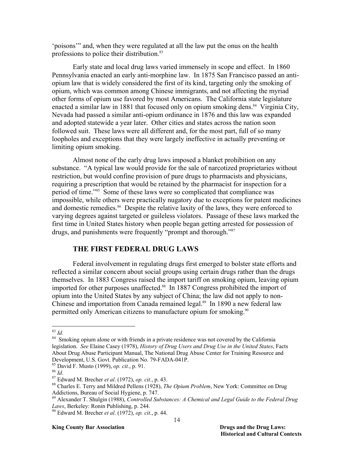'poisons'" and, when they were regulated at all the law put the onus on the health professions to police their distribution.<sup>83</sup>

 Early state and local drug laws varied immensely in scope and effect. In 1860 Pennsylvania enacted an early anti-morphine law. In 1875 San Francisco passed an antiopium law that is widely considered the first of its kind, targeting only the smoking of opium, which was common among Chinese immigrants, and not affecting the myriad other forms of opium use favored by most Americans. The California state legislature enacted a similar law in 1881 that focused only on opium smoking dens.<sup>84</sup> Virginia City, Nevada had passed a similar anti-opium ordinance in 1876 and this law was expanded and adopted statewide a year later. Other cities and states across the nation soon followed suit. These laws were all different and, for the most part, full of so many loopholes and exceptions that they were largely ineffective in actually preventing or limiting opium smoking.

Almost none of the early drug laws imposed a blanket prohibition on any substance. "A typical law would provide for the sale of narcotized proprietaries without restriction, but would confine provision of pure drugs to pharmacists and physicians, requiring a prescription that would be retained by the pharmacist for inspection for a period of time."85 Some of these laws were so complicated that compliance was impossible, while others were practically nugatory due to exceptions for patent medicines and domestic remedies.<sup>86</sup> Despite the relative laxity of the laws, they were enforced to varying degrees against targeted or guileless violators. Passage of these laws marked the first time in United States history when people began getting arrested for possession of drugs, and punishments were frequently "prompt and thorough."<sup>87</sup>

## **THE FIRST FEDERAL DRUG LAWS**

 Federal involvement in regulating drugs first emerged to bolster state efforts and reflected a similar concern about social groups using certain drugs rather than the drugs themselves. In 1883 Congress raised the import tariff on smoking opium, leaving opium imported for other purposes unaffected.<sup>88</sup> In 1887 Congress prohibited the import of opium into the United States by any subject of China; the law did not apply to non-Chinese and importation from Canada remained legal.<sup>89</sup> In 1890 a new federal law permitted only American citizens to manufacture opium for smoking.<sup>90</sup>

 $83 \; Id.$ 

<sup>&</sup>lt;sup>84</sup> Smoking opium alone or with friends in a private residence was not covered by the California legislation. *See* Elaine Casey (1978), *History of Drug Users and Drug Use in the United States*, Facts About Drug Abuse Participant Manual, The National Drug Abuse Center for Training Resource and Development, U.S. Govt. Publication No. 79-FADA-041P.<br><sup>85</sup> David F. Musto (1999), *op. cit.*, p. 91.

<sup>&</sup>lt;sup>86</sup> *Id.*<br><sup>87</sup> Edward M. Brecher *et al.* (1972), *op. cit.*, p. 43.<br><sup>88</sup> Charles E. Terry and Mildred Pellens (1928), *The Opium Problem*, New York: Committee on Drug Addictions, Bureau of Social Hygiene, p. 747.

<sup>&</sup>lt;sup>89</sup> Alexander T. Shulgin (1988), *Controlled Substances: A Chemical and Legal Guide to the Federal Drug Laws*, Berkeley: Ronin Publishing, p. 244. 90 Edward M. Brecher *et al*. (1972), *op. cit.*, p. 44.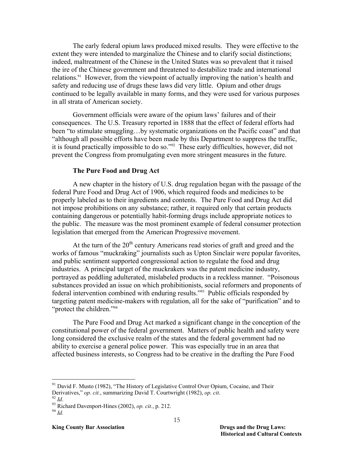The early federal opium laws produced mixed results. They were effective to the extent they were intended to marginalize the Chinese and to clarify social distinctions; indeed, maltreatment of the Chinese in the United States was so prevalent that it raised the ire of the Chinese government and threatened to destabilize trade and international relations.<sup>91</sup> However, from the viewpoint of actually improving the nation's health and safety and reducing use of drugs these laws did very little. Opium and other drugs continued to be legally available in many forms, and they were used for various purposes in all strata of American society.

Government officials were aware of the opium laws' failures and of their consequences. The U.S. Treasury reported in 1888 that the effect of federal efforts had been "to stimulate smuggling...by systematic organizations on the Pacific coast" and that "although all possible efforts have been made by this Department to suppress the traffic, it is found practically impossible to do so."92 These early difficulties, however, did not prevent the Congress from promulgating even more stringent measures in the future.

#### **The Pure Food and Drug Act**

A new chapter in the history of U.S. drug regulation began with the passage of the federal Pure Food and Drug Act of 1906, which required foods and medicines to be properly labeled as to their ingredients and contents. The Pure Food and Drug Act did not impose prohibitions on any substance; rather, it required only that certain products containing dangerous or potentially habit-forming drugs include appropriate notices to the public. The measure was the most prominent example of federal consumer protection legislation that emerged from the American Progressive movement.

At the turn of the  $20<sup>th</sup>$  century Americans read stories of graft and greed and the works of famous "muckraking" journalists such as Upton Sinclair were popular favorites, and public sentiment supported congressional action to regulate the food and drug industries. A principal target of the muckrakers was the patent medicine industry, portrayed as peddling adulterated, mislabeled products in a reckless manner. "Poisonous substances provided an issue on which prohibitionists, social reformers and proponents of federal intervention combined with enduring results."93 Public officials responded by targeting patent medicine-makers with regulation, all for the sake of "purification" and to "protect the children."94

The Pure Food and Drug Act marked a significant change in the conception of the constitutional power of the federal government. Matters of public health and safety were long considered the exclusive realm of the states and the federal government had no ability to exercise a general police power. This was especially true in an area that affected business interests, so Congress had to be creative in the drafting the Pure Food

 $91$  David F. Musto (1982), "The History of Legislative Control Over Opium, Cocaine, and Their Derivatives," *op. cit.*, summarizing David T. Courtwright (1982), *op. cit.* 92 *Id.* 93 Richard Davenport-Hines (2002), *op. cit.*, p. 212.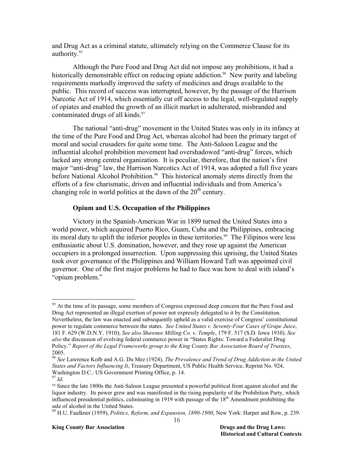and Drug Act as a criminal statute, ultimately relying on the Commerce Clause for its authority.<sup>95</sup>

Although the Pure Food and Drug Act did not impose any prohibitions, it had a historically demonstrable effect on reducing opiate addiction.<sup>96</sup> New purity and labeling requirements markedly improved the safety of medicines and drugs available to the public. This record of success was interrupted, however, by the passage of the Harrison Narcotic Act of 1914, which essentially cut off access to the legal, well-regulated supply of opiates and enabled the growth of an illicit market in adulterated, misbranded and contaminated drugs of all kinds.<sup>97</sup>

The national "anti-drug" movement in the United States was only in its infancy at the time of the Pure Food and Drug Act, whereas alcohol had been the primary target of moral and social crusaders for quite some time. The Anti-Saloon League and the influential alcohol prohibition movement had overshadowed "anti-drug" forces, which lacked any strong central organization. It is peculiar, therefore, that the nation's first major "anti-drug" law, the Harrison Narcotics Act of 1914, was adopted a full five years before National Alcohol Prohibition.<sup>98</sup> This historical anomaly stems directly from the efforts of a few charismatic, driven and influential individuals and from America's changing role in world politics at the dawn of the  $20<sup>th</sup>$  century.

### **Opium and U.S. Occupation of the Philippines**

 Victory in the Spanish-American War in 1899 turned the United States into a world power, which acquired Puerto Rico, Guam, Cuba and the Philippines, embracing its moral duty to uplift the inferior peoples in these territories.<sup>99</sup> The Filipinos were less enthusiastic about U.S. domination, however, and they rose up against the American occupiers in a prolonged insurrection. Upon suppressing this uprising, the United States took over governance of the Philippines and William Howard Taft was appointed civil governor. One of the first major problems he had to face was how to deal with island's "opium problem."

 $95$  At the time of its passage, some members of Congress expressed deep concern that the Pure Food and Drug Act represented an illegal exertion of power not expressly delegated to it by the Constitution. Nevertheless, the law was enacted and subsequently upheld as a valid exercise of Congress' constitutional power to regulate commerce between the states. *See United States v. Seventy-Four Cases of Grape Juice*, 181 F. 629 (W.D.N.Y. 1910); *See also Shawnee Milling Co. v. Temple*, 179 F. 517 (S.D. Iowa 1910). *See also* the discussion of evolving federal commerce power in "States Rights: Toward a Federalist Drug Policy." *Report of the Legal Frameworks group to the King County Bar Association Board of Trustees*, 2005.

<sup>96</sup> *See* Lawrence Kolb and A.G. Du Mez (1924), *The Prevalence and Trend of Drug Addiction in the United States and Factors Influencing It*, Treasury Department, US Public Health Service, Reprint No. 924, Washington D.C.: US Government Printing Office, p. 14.

<sup>97</sup> *Id*.

<sup>98</sup> Since the late 1800s the Anti-Saloon League presented a powerful political front against alcohol and the liquor industry. Its power grew and was manifested in the rising popularity of the Prohibition Party, which influenced presidential politics, culminating in 1919 with passage of the  $18<sup>th</sup>$  Amendment prohibiting the sale of alcohol in the United States.

<sup>99</sup> H.U. Faulkner (1959), *Politics, Reform, and Expansion, 1890-1900*, New York: Harper and Row, p. 239.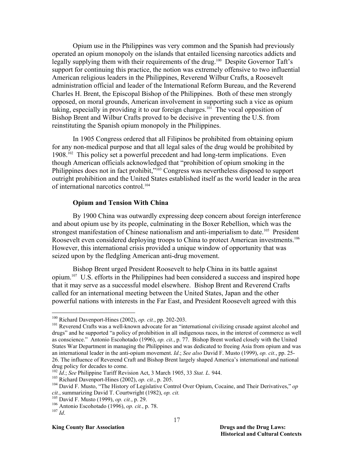Opium use in the Philippines was very common and the Spanish had previously operated an opium monopoly on the islands that entailed licensing narcotics addicts and legally supplying them with their requirements of the drug.<sup>100</sup> Despite Governor Taft's support for continuing this practice, the notion was extremely offensive to two influential American religious leaders in the Philippines, Reverend Wilbur Crafts, a Roosevelt administration official and leader of the International Reform Bureau, and the Reverend Charles H. Brent, the Episcopal Bishop of the Philippines. Both of these men strongly opposed, on moral grounds, American involvement in supporting such a vice as opium taking, especially in providing it to our foreign charges.101 The vocal opposition of Bishop Brent and Wilbur Crafts proved to be decisive in preventing the U.S. from reinstituting the Spanish opium monopoly in the Philippines.

In 1905 Congress ordered that all Filipinos be prohibited from obtaining opium for any non-medical purpose and that all legal sales of the drug would be prohibited by 1908.102 This policy set a powerful precedent and had long-term implications. Even though American officials acknowledged that "prohibition of opium smoking in the Philippines does not in fact prohibit,"<sup>103</sup> Congress was nevertheless disposed to support outright prohibition and the United States established itself as the world leader in the area of international narcotics control.104

#### **Opium and Tension With China**

By 1900 China was outwardly expressing deep concern about foreign interference and about opium use by its people, culminating in the Boxer Rebellion, which was the strongest manifestation of Chinese nationalism and anti-imperialism to date.<sup>105</sup> President Roosevelt even considered deploying troops to China to protect American investments.<sup>106</sup> However, this international crisis provided a unique window of opportunity that was seized upon by the fledgling American anti-drug movement.

Bishop Brent urged President Roosevelt to help China in its battle against opium.107 U.S. efforts in the Philippines had been considered a success and inspired hope that it may serve as a successful model elsewhere. Bishop Brent and Reverend Crafts called for an international meeting between the United States, Japan and the other powerful nations with interests in the Far East, and President Roosevelt agreed with this

 $100$  Richard Davenport-Hines (2002), op. cit., pp. 202-203.

<sup>&</sup>lt;sup>101</sup> Reverend Crafts was a well-known advocate for an "international civilizing crusade against alcohol and drugs" and he supported "a policy of prohibition in all indigenous races, in the interest of commerce as well as conscience." Antonio Escohotado (1996), *op. cit.*, p. 77. Bishop Brent worked closely with the United States War Department in managing the Philippines and was dedicated to freeing Asia from opium and was an international leader in the anti-opium movement. *Id*.; *See also* David F. Musto (1999), *op. cit.*, pp. 25- 26. The influence of Reverend Craft and Bishop Brent largely shaped America's international and national drug policy for decades to come.<br><sup>102</sup> *Id.*; See Philippine Tariff Revision Act, 3 March 1905, 33 Stat. L. 944.

<sup>&</sup>lt;sup>103</sup> Richard Davenport-Hines (2002), op. cit., p. 205.<br><sup>104</sup> David F. Musto, "The History of Legislative Control Over Opium, Cocaine, and Their Derivatives," op *cit.*, summarizing David T. Courtwright (1982), *op. cit.* <sup>105</sup> David F. Musto (1999), *op. cit.*, p. 29. <sup>106</sup> Antonio Escohotado (1996), *op. cit.*, p. 78. 107 *Id*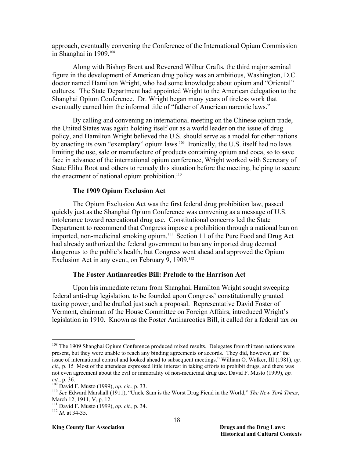approach, eventually convening the Conference of the International Opium Commission in Shanghai in 1909.108

Along with Bishop Brent and Reverend Wilbur Crafts, the third major seminal figure in the development of American drug policy was an ambitious, Washington, D.C. doctor named Hamilton Wright, who had some knowledge about opium and "Oriental" cultures. The State Department had appointed Wright to the American delegation to the Shanghai Opium Conference. Dr. Wright began many years of tireless work that eventually earned him the informal title of "father of American narcotic laws."

By calling and convening an international meeting on the Chinese opium trade, the United States was again holding itself out as a world leader on the issue of drug policy, and Hamilton Wright believed the U.S. should serve as a model for other nations by enacting its own "exemplary" opium laws.<sup>109</sup> Ironically, the U.S. itself had no laws limiting the use, sale or manufacture of products containing opium and coca, so to save face in advance of the international opium conference, Wright worked with Secretary of State Elihu Root and others to remedy this situation before the meeting, helping to secure the enactment of national opium prohibition. $110$ 

#### **The 1909 Opium Exclusion Act**

The Opium Exclusion Act was the first federal drug prohibition law, passed quickly just as the Shanghai Opium Conference was convening as a message of U.S. intolerance toward recreational drug use. Constitutional concerns led the State Department to recommend that Congress impose a prohibition through a national ban on imported, non-medicinal smoking opium.111 Section 11 of the Pure Food and Drug Act had already authorized the federal government to ban any imported drug deemed dangerous to the public's health, but Congress went ahead and approved the Opium Exclusion Act in any event, on February 9, 1909.<sup>112</sup>

#### **The Foster Antinarcotics Bill: Prelude to the Harrison Act**

Upon his immediate return from Shanghai, Hamilton Wright sought sweeping federal anti-drug legislation, to be founded upon Congress' constitutionally granted taxing power, and he drafted just such a proposal. Representative David Foster of Vermont, chairman of the House Committee on Foreign Affairs, introduced Wright's legislation in 1910. Known as the Foster Antinarcotics Bill, it called for a federal tax on

-

<sup>&</sup>lt;sup>108</sup> The 1909 Shanghai Opium Conference produced mixed results. Delegates from thirteen nations were present, but they were unable to reach any binding agreements or accords. They did, however, air "the issue of international control and looked ahead to subsequent meetings." William O. Walker, III (1981), *op. cit.,* p. 15 Most of the attendees expressed little interest in taking efforts to prohibit drugs, and there was not even agreement about the evil or immorality of non-medicinal drug use. David F. Musto (1999), *op.* 

*cit.*, p. 36. 109 David F. Musto (1999), *op. cit.*, p. 33. 110 *See* Edward Marshall (1911), "Uncle Sam is the Worst Drug Fiend in the World," *The New York Times*, March 12, 1911, V, p. 12.

<sup>111</sup> David F. Musto (1999), *op. cit.*, p. 34. 112 *Id*. at 34-35.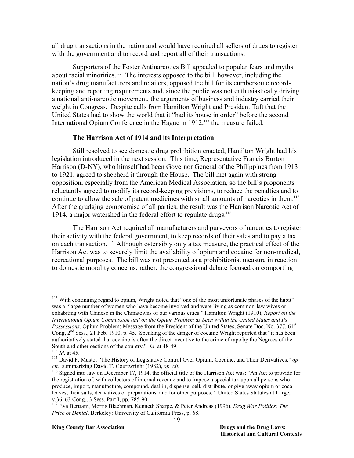all drug transactions in the nation and would have required all sellers of drugs to register with the government and to record and report all of their transactions.

Supporters of the Foster Antinarcotics Bill appealed to popular fears and myths about racial minorities.<sup>113</sup> The interests opposed to the bill, however, including the nation's drug manufacturers and retailers, opposed the bill for its cumbersome recordkeeping and reporting requirements and, since the public was not enthusiastically driving a national anti-narcotic movement, the arguments of business and industry carried their weight in Congress. Despite calls from Hamilton Wright and President Taft that the United States had to show the world that it "had its house in order" before the second International Opium Conference in the Hague in 1912,<sup>114</sup> the measure failed.

### **The Harrison Act of 1914 and its Interpretation**

Still resolved to see domestic drug prohibition enacted, Hamilton Wright had his legislation introduced in the next session. This time, Representative Francis Burton Harrison (D-NY), who himself had been Governor General of the Philippines from 1913 to 1921, agreed to shepherd it through the House. The bill met again with strong opposition, especially from the American Medical Association, so the bill's proponents reluctantly agreed to modify its record-keeping provisions, to reduce the penalties and to continue to allow the sale of patent medicines with small amounts of narcotics in them.<sup>115</sup> After the grudging compromise of all parties, the result was the Harrison Narcotic Act of 1914, a major watershed in the federal effort to regulate drugs.<sup>116</sup>

The Harrison Act required all manufacturers and purveyors of narcotics to register their activity with the federal government, to keep records of their sales and to pay a tax on each transaction.<sup>117</sup> Although ostensibly only a tax measure, the practical effect of the Harrison Act was to severely limit the availability of opium and cocaine for non-medical, recreational purposes. The bill was not presented as a prohibitionist measure in reaction to domestic morality concerns; rather, the congressional debate focused on comporting

<sup>113</sup> With continuing regard to opium, Wright noted that "one of the most unfortunate phases of the habit" was a "large number of women who have become involved and were living as common-law wives or cohabiting with Chinese in the Chinatowns of our various cities." Hamilton Wright (1910), *Report on the International Opium Commission and on the Opium Problem as Seen within the United States and Its Possessions*, Opium Problem: Message from the President of the United States, Senate Doc. No. 377, 61<sup>st</sup> Cong, 2<sup>nd</sup> Sess., 21 Feb. 1910, p. 45. Speaking of the danger of cocaine Wright reported that "it has been authoritatively stated that cocaine is often the direct incentive to the crime of rape by the Negroes of the South and other sections of the country."  $Id$ . at 48-49.

<sup>&</sup>lt;sup>114</sup> *Id.* at 45.<br><sup>115</sup> David F. Musto, "The History of Legislative Control Over Opium, Cocaine, and Their Derivatives," *op cit*., summarizing David T. Courtwright (1982), *op. cit.* 

<sup>&</sup>lt;sup>chet</sup> Signed into law on December 17, 1914, the official title of the Harrison Act was: "An Act to provide for the registration of, with collectors of internal revenue and to impose a special tax upon all persons who produce, import, manufacture, compound, deal in, dispense, sell, distribute, or give away opium or coca leaves, their salts, derivatives or preparations, and for other purposes." United States Statutes at Large, v.36, 63 Cong., 3 Sess, Part I, pp. 785-90.

<sup>117</sup> Eva Bertram, Morris Blachman, Kenneth Sharpe, & Peter Andreas (1996), *Drug War Politics: The Price of Denial*, Berkeley: University of California Press, p. 68.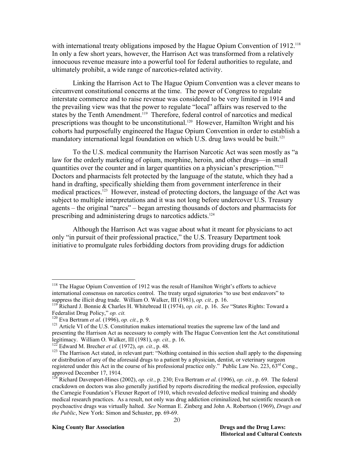with international treaty obligations imposed by the Hague Opium Convention of 1912.<sup>118</sup> In only a few short years, however, the Harrison Act was transformed from a relatively innocuous revenue measure into a powerful tool for federal authorities to regulate, and ultimately prohibit, a wide range of narcotics-related activity.

Linking the Harrison Act to The Hague Opium Convention was a clever means to circumvent constitutional concerns at the time. The power of Congress to regulate interstate commerce and to raise revenue was considered to be very limited in 1914 and the prevailing view was that the power to regulate "local" affairs was reserved to the states by the Tenth Amendment.<sup>119</sup> Therefore, federal control of narcotics and medical prescriptions was thought to be unconstitutional.<sup>120</sup> However, Hamilton Wright and his cohorts had purposefully engineered the Hague Opium Convention in order to establish a mandatory international legal foundation on which U.S. drug laws would be built.<sup>121</sup>

To the U.S. medical community the Harrison Narcotic Act was seen mostly as "a law for the orderly marketing of opium, morphine, heroin, and other drugs—in small quantities over the counter and in larger quantities on a physician's prescription."122 Doctors and pharmacists felt protected by the language of the statute, which they had a hand in drafting, specifically shielding them from government interference in their medical practices.<sup>123</sup> However, instead of protecting doctors, the language of the Act was subject to multiple interpretations and it was not long before undercover U.S. Treasury agents – the original "narcs" – began arresting thousands of doctors and pharmacists for prescribing and administering drugs to narcotics addicts.<sup>124</sup>

Although the Harrison Act was vague about what it meant for physicians to act only "in pursuit of their professional practice," the U.S. Treasury Department took initiative to promulgate rules forbidding doctors from providing drugs for addiction

 $\overline{a}$ 

#### **King County Bar Association Drugs and the Drug Laws: Drugs and the Drug Laws:**

<sup>&</sup>lt;sup>118</sup> The Hague Opium Convention of 1912 was the result of Hamilton Wright's efforts to achieve international consensus on narcotics control. The treaty urged signatories "to use best endeavors" to suppress the illicit drug trade. William O. Walker, III (1981), *op. cit.*, p. 16. *See* "States Rights: Toward a <sup>119</sup> Richard J. Bonnie & Charles H. Whitebread II (1974), *op. cit.*, p. 16. *See* "States Rights: Toward a

Federalist Drug Policy," *op. cit.*<br><sup>120</sup> Eva Bertram *et al.* (1996), *op. cit.*, p. 9.<br><sup>121</sup> Article VI of the U.S. Constitution makes international treaties the supreme law of the land and

presenting the Harrison Act as necessary to comply with The Hague Convention lent the Act constitutional legitimacy. William O. Walker, III (1981), op. cit., p. 16.<br><sup>122</sup> Edward M. Brecher et al. (1972), op. cit., p. 48.<br><sup>123</sup> The Harrison Act stated, in relevant part: "Nothing contained in this section shall apply to the di

or distribution of any of the aforesaid drugs to a patient by a physician, dentist, or veterinary surgeon registered under this Act in the course of his professional practice only." Public Law No. 223,  $63^{rd}$  Cong., approved December 17, 1914.

<sup>124</sup> Richard Davenport-Hines (2002), *op. cit.*, p. 230; Eva Bertram *et al*. (1996), *op. cit.*, p. 69. The federal crackdown on doctors was also generally justified by reports discrediting the medical profession, especially the Carnegie Foundation's Flexner Report of 1910, which revealed defective medical training and shoddy medical research practices. As a result, not only was drug addiction criminalized, but scientific research on psychoactive drugs was virtually halted. *See* Norman E. Zinberg and John A. Robertson (1969), *Drugs and the Public*, New York: Simon and Schuster, pp. 69-69.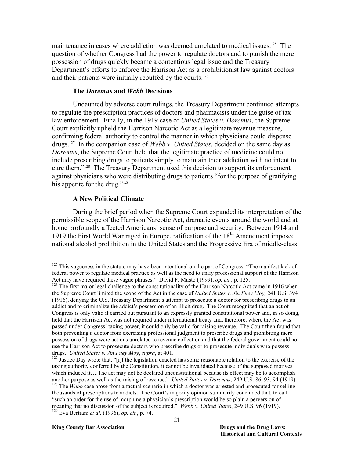maintenance in cases where addiction was deemed unrelated to medical issues.<sup>125</sup> The question of whether Congress had the power to regulate doctors and to punish the mere possession of drugs quickly became a contentious legal issue and the Treasury Department's efforts to enforce the Harrison Act as a prohibitionist law against doctors and their patients were initially rebuffed by the courts.<sup>126</sup>

#### **The** *Doremus* **and** *Webb* **Decisions**

 Undaunted by adverse court rulings, the Treasury Department continued attempts to regulate the prescription practices of doctors and pharmacists under the guise of tax law enforcement. Finally, in the 1919 case of *United States v. Doremus,* the Supreme Court explicitly upheld the Harrison Narcotic Act as a legitimate revenue measure, confirming federal authority to control the manner in which physicians could dispense drugs.127 In the companion case of *Webb v. United States*, decided on the same day as *Doremus*, the Supreme Court held that the legitimate practice of medicine could not include prescribing drugs to patients simply to maintain their addiction with no intent to cure them."128 The Treasury Department used this decision to support its enforcement against physicians who were distributing drugs to patients "for the purpose of gratifying his appetite for the drug."<sup>129</sup>

#### **A New Political Climate**

 $\overline{a}$ 

During the brief period when the Supreme Court expanded its interpretation of the permissible scope of the Harrison Narcotic Act, dramatic events around the world and at home profoundly affected Americans' sense of purpose and security. Between 1914 and 1919 the First World War raged in Europe, ratification of the  $18<sup>th</sup>$  Amendment imposed national alcohol prohibition in the United States and the Progressive Era of middle-class

<sup>&</sup>lt;sup>125</sup> This vagueness in the statute may have been intentional on the part of Congress: "The manifest lack of federal power to regulate medical practice as well as the need to unify professional support of the Harrison<br>Act may have required these vague phrases." David F. Musto (1999), op. cit., p. 125.

<sup>&</sup>lt;sup>126</sup> The first major legal challenge to the constitutionality of the Harrison Narcotic Act came in 1916 when the Supreme Court limited the scope of the Act in the case of *United States v. Jin Fuey Moy,* 241 U.S. 394 (1916), denying the U.S. Treasury Department's attempt to prosecute a doctor for prescribing drugs to an addict and to criminalize the addict's possession of an illicit drug. The Court recognized that an act of Congress is only valid if carried out pursuant to an expressly granted constitutional power and, in so doing, held that the Harrison Act was not required under international treaty and, therefore, where the Act was passed under Congress' taxing power, it could only be valid for raising revenue. The Court then found that both preventing a doctor from exercising professional judgment to prescribe drugs and prohibiting mere possession of drugs were actions unrelated to revenue collection and that the federal government could not use the Harrison Act to prosecute doctors who prescribe drugs or to prosecute individuals who possess drugs. United States v. Jin Fuey Moy, supra, at 401.

<sup>&</sup>lt;sup>127</sup> Justice Day wrote that, "[i]f the legislation enacted has some reasonable relation to the exercise of the taxing authority conferred by the Constitution, it cannot be invalidated because of the supposed motives which induced it….The act may not be declared unconstitutional because its effect may be to accomplish another purpose as well as the raising of revenue." *United States v. Doremus*, 249 U.S. 86, 93, 94 (1919).<br><sup>128</sup> The *Webb* case arose from a factual scenario in which a doctor was arrested and prosecuted for selling thousands of prescriptions to addicts. The Court's majority opinion summarily concluded that, to call "such an order for the use of morphine a physician's prescription would be so plain a perversion of meaning that no discussion of the subject is required." *Webb v. United States*, 249 U.S. 96 (1919).<br><sup>129</sup> Eva Bertram *et al.* (1996), *op. cit.*, p. 74.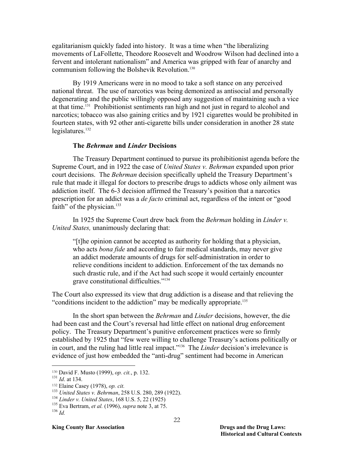egalitarianism quickly faded into history. It was a time when "the liberalizing movements of LaFollette, Theodore Roosevelt and Woodrow Wilson had declined into a fervent and intolerant nationalism" and America was gripped with fear of anarchy and communism following the Bolshevik Revolution.<sup>130</sup>

By 1919 Americans were in no mood to take a soft stance on any perceived national threat. The use of narcotics was being demonized as antisocial and personally degenerating and the public willingly opposed any suggestion of maintaining such a vice at that time.131 Prohibitionist sentiments ran high and not just in regard to alcohol and narcotics; tobacco was also gaining critics and by 1921 cigarettes would be prohibited in fourteen states, with 92 other anti-cigarette bills under consideration in another 28 state legislatures. $132$ 

#### **The** *Behrman* **and** *Linder* **Decisions**

The Treasury Department continued to pursue its prohibitionist agenda before the Supreme Court, and in 1922 the case of *United States v. Behrman* expanded upon prior court decisions. The *Behrman* decision specifically upheld the Treasury Department's rule that made it illegal for doctors to prescribe drugs to addicts whose only ailment was addiction itself. The 6-3 decision affirmed the Treasury's position that a narcotics prescription for an addict was a *de facto* criminal act, regardless of the intent or "good faith" of the physician.<sup>133</sup>

In 1925 the Supreme Court drew back from the *Behrman* holding in *Linder v. United States,* unanimously declaring that:

"[t]he opinion cannot be accepted as authority for holding that a physician, who acts *bona fide* and according to fair medical standards, may never give an addict moderate amounts of drugs for self-administration in order to relieve conditions incident to addiction. Enforcement of the tax demands no such drastic rule, and if the Act had such scope it would certainly encounter grave constitutional difficulties."134

The Court also expressed its view that drug addiction is a disease and that relieving the "conditions incident to the addiction" may be medically appropriate.135

In the short span between the *Behrman* and *Linder* decisions, however, the die had been cast and the Court's reversal had little effect on national drug enforcement policy. The Treasury Department's punitive enforcement practices were so firmly established by 1925 that "few were willing to challenge Treasury's actions politically or in court, and the ruling had little real impact."136 The *Linder* decision's irrelevance is evidence of just how embedded the "anti-drug" sentiment had become in American

<sup>130</sup> David F. Musto (1999), *op. cit.*, p. 132.

<sup>131</sup> *Id*. at 134.

<sup>132</sup> Elaine Casey (1978), *op. cit.*

<sup>133</sup> *United States v. Behrman*, 258 U.S. 280, 289 (1922). 134 *Linder v. United States*, 168 U.S. 5, 22 (1925) 135 Eva Bertram, *et al.* (1996), *supra* note 3, at 75. 136 *Id.*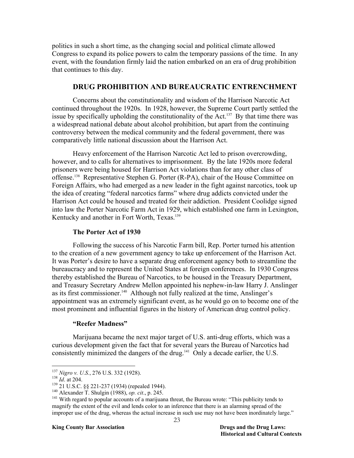politics in such a short time, as the changing social and political climate allowed Congress to expand its police powers to calm the temporary passions of the time. In any event, with the foundation firmly laid the nation embarked on an era of drug prohibition that continues to this day.

#### **DRUG PROHIBITION AND BUREAUCRATIC ENTRENCHMENT**

Concerns about the constitutionality and wisdom of the Harrison Narcotic Act continued throughout the 1920s. In 1928, however, the Supreme Court partly settled the issue by specifically upholding the constitutionality of the Act.137 By that time there was a widespread national debate about alcohol prohibition, but apart from the continuing controversy between the medical community and the federal government, there was comparatively little national discussion about the Harrison Act.

Heavy enforcement of the Harrison Narcotic Act led to prison overcrowding, however, and to calls for alternatives to imprisonment. By the late 1920s more federal prisoners were being housed for Harrison Act violations than for any other class of offense.138 Representative Stephen G. Porter (R-PA), chair of the House Committee on Foreign Affairs, who had emerged as a new leader in the fight against narcotics, took up the idea of creating "federal narcotics farms" where drug addicts convicted under the Harrison Act could be housed and treated for their addiction. President Coolidge signed into law the Porter Narcotic Farm Act in 1929, which established one farm in Lexington, Kentucky and another in Fort Worth, Texas.<sup>139</sup>

#### **The Porter Act of 1930**

Following the success of his Narcotic Farm bill, Rep. Porter turned his attention to the creation of a new government agency to take up enforcement of the Harrison Act. It was Porter's desire to have a separate drug enforcement agency both to streamline the bureaucracy and to represent the United States at foreign conferences. In 1930 Congress thereby established the Bureau of Narcotics, to be housed in the Treasury Department, and Treasury Secretary Andrew Mellon appointed his nephew-in-law Harry J. Anslinger as its first commissioner.<sup>140</sup> Although not fully realized at the time, Anslinger's appointment was an extremely significant event, as he would go on to become one of the most prominent and influential figures in the history of American drug control policy.

#### **"Reefer Madness"**

Marijuana became the next major target of U.S. anti-drug efforts, which was a curious development given the fact that for several years the Bureau of Narcotics had consistently minimized the dangers of the drug.141 Only a decade earlier, the U.S.

<sup>&</sup>lt;sup>137</sup> Nigro v. U.S., 276 U.S. 332 (1928).

<sup>&</sup>lt;sup>138</sup> *Id.* at 204.<br><sup>139</sup> 21 U.S.C. §§ 221-237 (1934) (repealed 1944).<br><sup>140</sup> Alexander T. Shulgin (1988), *op. cit.*, p. 245.<br><sup>141</sup> With regard to popular accounts of a marijuana threat, the Bureau wrote: "This publicity magnify the extent of the evil and lends color to an inference that there is an alarming spread of the improper use of the drug, whereas the actual increase in such use may not have been inordinately large."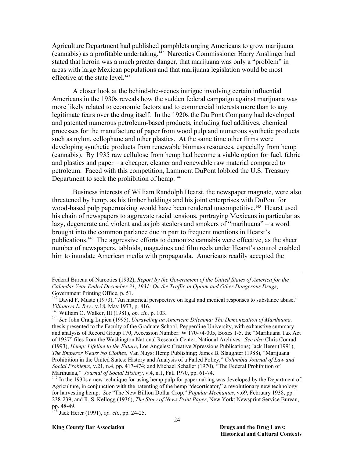Agriculture Department had published pamphlets urging Americans to grow marijuana (cannabis) as a profitable undertaking.142 Narcotics Commissioner Harry Anslinger had stated that heroin was a much greater danger, that marijuana was only a "problem" in areas with large Mexican populations and that marijuana legislation would be most effective at the state level.<sup>143</sup>

A closer look at the behind-the-scenes intrigue involving certain influential Americans in the 1930s reveals how the sudden federal campaign against marijuana was more likely related to economic factors and to commercial interests more than to any legitimate fears over the drug itself. In the 1920s the Du Pont Company had developed and patented numerous petroleum-based products, including fuel additives, chemical processes for the manufacture of paper from wood pulp and numerous synthetic products such as nylon, cellophane and other plastics. At the same time other firms were developing synthetic products from renewable biomass resources, especially from hemp (cannabis). By 1935 raw cellulose from hemp had become a viable option for fuel, fabric and plastics and paper – a cheaper, cleaner and renewable raw material compared to petroleum. Faced with this competition, Lammont DuPont lobbied the U.S. Treasury Department to seek the prohibition of hemp.<sup>144</sup>

Business interests of William Randolph Hearst, the newspaper magnate, were also threatened by hemp, as his timber holdings and his joint enterprises with DuPont for wood-based pulp papermaking would have been rendered uncompetitive.<sup>145</sup> Hearst used his chain of newspapers to aggravate racial tensions, portraying Mexicans in particular as lazy, degenerate and violent and as job stealers and smokers of "marihuana" – a word brought into the common parlance due in part to frequent mentions in Hearst's publications.146 The aggressive efforts to demonize cannabis were effective, as the sheer number of newspapers, tabloids, magazines and film reels under Hearst's control enabled him to inundate American media with propaganda. Americans readily accepted the

Federal Bureau of Narcotics (1932), *Report by the Government of the United States of America for the Calendar Year Ended December 31, 1931: On the Traffic in Opium and Other Dangerous Drugs*, Government Printing Office, p. 51.

<sup>&</sup>lt;sup>142</sup> David F. Musto (1973), "An historical perspective on legal and medical responses to substance abuse,"<br>Villanova L. Rev., v.18, May 1973, p. 816.

<sup>&</sup>lt;sup>143</sup> William O. Walker, III (1981), *op. cit.*, p. 103.<br><sup>144</sup> *See* John Craig Lupien (1995), *Unraveling an American Dilemma: The Demonization of Marihuana,* thesis presented to the Faculty of the Graduate School, Pepperdine University, with exhaustive summary and analysis of Record Group 170, Accession Number: W 170-74-005, Boxes 1-5, the "Marihuana Tax Act of 1937" files from the Washington National Research Center, National Archives. *See also* Chris Conrad (1993), *Hemp: Lifeline to the Future*, Los Angeles: Creative Xpressions Publications; Jack Herer (1991), *The Emperor Wears No Clothes,* Van Nuys: Hemp Publishing; James B. Slaughter (1988), "Marijuana Prohibition in the United States: History and Analysis of a Failed Policy," *Columbia Journal of Law and Social Problems*, v.21, n.4, pp. 417-474; and Michael Schaller (1970), "The Federal Prohibition of Marihuana," *Journal of Social History*, v.4, n.1, Fall 1970, pp. 61-74.<br><sup>145</sup> In the 1930s a new technique for using hemp pulp for papermaking was developed by the Department of

Agriculture, in conjunction with the patenting of the hemp "decorticator," a revolutionary new technology for harvesting hemp. *See* "The New Billion Dollar Crop," *Popular Mechanics*, v.69, February 1938, pp. 238-239; and R. S. Kellogg (1936), *The Story of News Print Paper*, New York: Newsprint Service Bureau, pp. 48-49.

<sup>146</sup> Jack Herer (1991), *op. cit.*, pp. 24-25.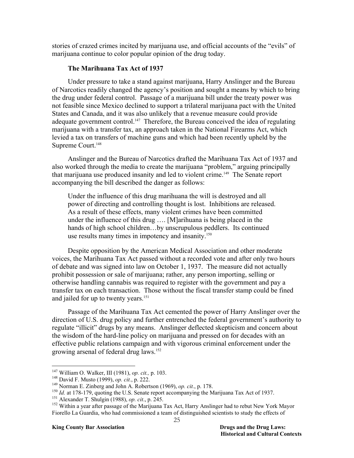stories of crazed crimes incited by marijuana use, and official accounts of the "evils" of marijuana continue to color popular opinion of the drug today.

## **The Marihuana Tax Act of 1937**

Under pressure to take a stand against marijuana, Harry Anslinger and the Bureau of Narcotics readily changed the agency's position and sought a means by which to bring the drug under federal control. Passage of a marijuana bill under the treaty power was not feasible since Mexico declined to support a trilateral marijuana pact with the United States and Canada, and it was also unlikely that a revenue measure could provide adequate government control.<sup>147</sup> Therefore, the Bureau conceived the idea of regulating marijuana with a transfer tax, an approach taken in the National Firearms Act, which levied a tax on transfers of machine guns and which had been recently upheld by the Supreme Court.<sup>148</sup>

Anslinger and the Bureau of Narcotics drafted the Marihuana Tax Act of 1937 and also worked through the media to create the marijuana "problem," arguing principally that marijuana use produced insanity and led to violent crime.<sup>149</sup> The Senate report accompanying the bill described the danger as follows:

Under the influence of this drug marihuana the will is destroyed and all power of directing and controlling thought is lost. Inhibitions are released. As a result of these effects, many violent crimes have been committed under the influence of this drug …. [M]arihuana is being placed in the hands of high school children...by unscrupulous peddlers. Its continued use results many times in impotency and insanity.<sup>150</sup>

Despite opposition by the American Medical Association and other moderate voices, the Marihuana Tax Act passed without a recorded vote and after only two hours of debate and was signed into law on October 1, 1937. The measure did not actually prohibit possession or sale of marijuana; rather, any person importing, selling or otherwise handling cannabis was required to register with the government and pay a transfer tax on each transaction. Those without the fiscal transfer stamp could be fined and jailed for up to twenty years.<sup>151</sup>

Passage of the Marihuana Tax Act cemented the power of Harry Anslinger over the direction of U.S. drug policy and further entrenched the federal government's authority to regulate "illicit" drugs by any means. Anslinger deflected skepticism and concern about the wisdom of the hard-line policy on marijuana and pressed on for decades with an effective public relations campaign and with vigorous criminal enforcement under the growing arsenal of federal drug laws.152

 $147$  William O. Walker, III (1981), op. cit., p. 103.

<sup>&</sup>lt;sup>148</sup> David F. Musto (1999), *op. cit.*, p. 222.<br><sup>149</sup> Norman E. Zinberg and John A. Robertson (1969), *op. cit.*, p. 178.<br><sup>150</sup> *Id.* at 178-179, quoting the U.S. Senate report accompanying the Marijuana Tax Act of 1937.

Fiorello La Guardia, who had commissioned a team of distinguished scientists to study the effects of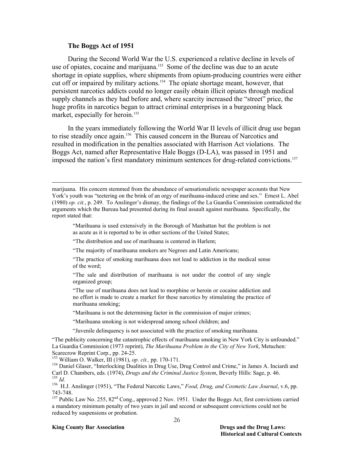#### **The Boggs Act of 1951**

 $\overline{a}$ 

During the Second World War the U.S. experienced a relative decline in levels of use of opiates, cocaine and marijuana.<sup>153</sup> Some of the decline was due to an acute shortage in opiate supplies, where shipments from opium-producing countries were either cut off or impaired by military actions.<sup>154</sup> The opiate shortage meant, however, that persistent narcotics addicts could no longer easily obtain illicit opiates through medical supply channels as they had before and, where scarcity increased the "street" price, the huge profits in narcotics began to attract criminal enterprises in a burgeoning black market, especially for heroin.<sup>155</sup>

In the years immediately following the World War II levels of illicit drug use began to rise steadily once again.<sup>156</sup> This caused concern in the Bureau of Narcotics and resulted in modification in the penalties associated with Harrison Act violations. The Boggs Act, named after Representative Hale Boggs (D-LA), was passed in 1951 and imposed the nation's first mandatory minimum sentences for drug-related convictions.<sup>157</sup>

"Marihuana is used extensively in the Borough of Manhattan but the problem is not as acute as it is reported to be in other sections of the United States;

"The distribution and use of marihuana is centered in Harlem;

"The majority of marihuana smokers are Negroes and Latin Americans;

"The practice of smoking marihuana does not lead to addiction in the medical sense of the word;

"The sale and distribution of marihuana is not under the control of any single organized group;

"The use of marihuana does not lead to morphine or heroin or cocaine addiction and no effort is made to create a market for these narcotics by stimulating the practice of marihuana smoking;

"Marihuana is not the determining factor in the commission of major crimes;

"Marihuana smoking is not widespread among school children; and

"Juvenile delinquency is not associated with the practice of smoking marihuana.

"The publicity concerning the catastrophic effects of marihuana smoking in New York City is unfounded." La Guardia Commission (1973 reprint), *The Marihuana Problem in the City of New York*, Metuchen: Scarecrow Reprint Corp., pp. 24-25.<br><sup>153</sup> William O. Walker, III (1981), op. cit., pp. 170-171.

<sup>154</sup> Daniel Glaser, "Interlocking Dualities in Drug Use, Drug Control and Crime," in James A. Inciardi and Carl D. Chambers, eds. (1974), *Drugs and the Criminal Justice System*, Beverly Hills: Sage, p. 46. <sup>155</sup> Id.<br><sup>156</sup> H.J. Anslinger (1951), "The Federal Narcotic Laws," *Food, Drug, and Cosmetic Law Journal*, v.6, pp.

743-748.

<sup>157</sup> Public Law No. 255,  $82<sup>nd</sup>$  Cong., approved 2 Nov. 1951. Under the Boggs Act, first convictions carried a mandatory minimum penalty of two years in jail and second or subsequent convictions could not be reduced by suspensions or probation.

#### **King County Bar Association Drugs and the Drug Laws:**

marijuana. His concern stemmed from the abundance of sensationalistic newspaper accounts that New York's youth was "teetering on the brink of an orgy of marihuana-induced crime and sex." Ernest L. Abel (1980) *op. cit.*, p. 249. To Anslinger's dismay, the findings of the La Guardia Commission contradicted the arguments which the Bureau had presented during its final assault against marihuana. Specifically, the report stated that: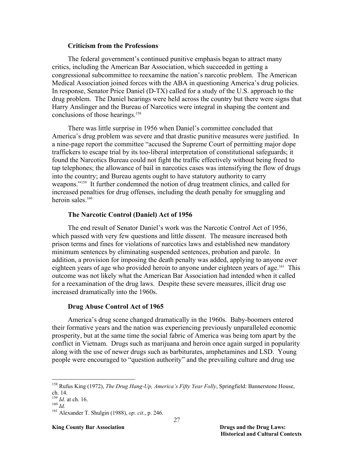#### **Criticism from the Professions**

The federal government's continued punitive emphasis began to attract many critics, including the American Bar Association, which succeeded in getting a congressional subcommittee to reexamine the nation's narcotic problem. The American Medical Association joined forces with the ABA in questioning America's drug policies. In response, Senator Price Daniel (D-TX) called for a study of the U.S. approach to the drug problem. The Daniel hearings were held across the country but there were signs that Harry Anslinger and the Bureau of Narcotics were integral in shaping the content and conclusions of those hearings.<sup>158</sup>

There was little surprise in 1956 when Daniel's committee concluded that America's drug problem was severe and that drastic punitive measures were justified. In a nine-page report the committee "accused the Supreme Court of permitting major dope traffickers to escape trial by its too-liberal interpretation of constitutional safeguards; it found the Narcotics Bureau could not fight the traffic effectively without being freed to tap telephones; the allowance of bail in narcotics cases was intensifying the flow of drugs into the country; and Bureau agents ought to have statutory authority to carry weapons."159 It further condemned the notion of drug treatment clinics, and called for increased penalties for drug offenses, including the death penalty for smuggling and heroin sales $160$ 

#### **The Narcotic Control (Daniel) Act of 1956**

The end result of Senator Daniel's work was the Narcotic Control Act of 1956, which passed with very few questions and little dissent. The measure increased both prison terms and fines for violations of narcotics laws and established new mandatory minimum sentences by eliminating suspended sentences, probation and parole. In addition, a provision for imposing the death penalty was added, applying to anyone over eighteen years of age who provided heroin to anyone under eighteen years of age.<sup>161</sup> This outcome was not likely what the American Bar Association had intended when it called for a reexamination of the drug laws. Despite these severe measures, illicit drug use increased dramatically into the 1960s.

#### **Drug Abuse Control Act of 1965**

America's drug scene changed dramatically in the 1960s. Baby-boomers entered their formative years and the nation was experiencing previously unparalleled economic prosperity, but at the same time the social fabric of America was being torn apart by the conflict in Vietnam.Drugs such as marijuana and heroin once again surged in popularity along with the use of newer drugs such as barbiturates, amphetamines and LSD. Young people were encouraged to "question authority" and the prevailing culture and drug use

<sup>158</sup> Rufus King (1972), *The Drug Hang-Up, America's Fifty Year Folly*, Springfield: Bannerstone House, ch. 14.<br><sup>159</sup> Id. at ch. 16.

<sup>159</sup> *Id*. at ch. 16. 160 *Id.* 161 Alexander T. Shulgin (1988), *op. cit*., p. 246.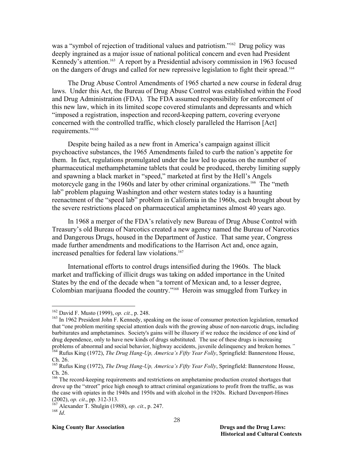was a "symbol of rejection of traditional values and patriotism."<sup>162</sup> Drug policy was deeply ingrained as a major issue of national political concern and even had President Kennedy's attention.<sup>163</sup> A report by a Presidential advisory commission in 1963 focused on the dangers of drugs and called for new repressive legislation to fight their spread.<sup>164</sup>

The Drug Abuse Control Amendments of 1965 charted a new course in federal drug laws. Under this Act, the Bureau of Drug Abuse Control was established within the Food and Drug Administration (FDA). The FDA assumed responsibility for enforcement of this new law, which in its limited scope covered stimulants and depressants and which "imposed a registration, inspection and record-keeping pattern, covering everyone concerned with the controlled traffic, which closely paralleled the Harrison [Act] requirements."165

Despite being hailed as a new front in America's campaign against illicit psychoactive substances, the 1965 Amendments failed to curb the nation's appetite for them. In fact, regulations promulgated under the law led to quotas on the number of pharmaceutical methamphetamine tablets that could be produced, thereby limiting supply and spawning a black market in "speed," marketed at first by the Hell's Angels motorcycle gang in the 1960s and later by other criminal organizations.<sup>166</sup> The "meth" lab" problem plaguing Washington and other western states today is a haunting reenactment of the "speed lab" problem in California in the 1960s, each brought about by the severe restrictions placed on pharmaceutical amphetamines almost 40 years ago.

In 1968 a merger of the FDA's relatively new Bureau of Drug Abuse Control with Treasury's old Bureau of Narcotics created a new agency named the Bureau of Narcotics and Dangerous Drugs, housed in the Department of Justice. That same year, Congress made further amendments and modifications to the Harrison Act and, once again, increased penalties for federal law violations.<sup>167</sup>

International efforts to control drugs intensified during the 1960s. The black market and trafficking of illicit drugs was taking on added importance in the United States by the end of the decade when "a torrent of Mexican and, to a lesser degree, Colombian marijuana flooded the country."168 Heroin was smuggled from Turkey in

#### **King County Bar Association Drugs and the Drug Laws:**

<sup>&</sup>lt;sup>162</sup> David F. Musto (1999), op. cit., p. 248.

<sup>&</sup>lt;sup>163</sup> In 1962 President John F. Kennedy, speaking on the issue of consumer protection legislation, remarked that "one problem meriting special attention deals with the growing abuse of non-narcotic drugs, including barbiturates and amphetamines. Society's gains will be illusory if we reduce the incidence of one kind of drug dependence, only to have new kinds of drugs substituted. The use of these drugs is increasing problems of abnormal and social behavior, highway accidents, juvenile delinquency and broken homes*."* 164 Rufus King (1972), *The Drug Hang-Up, America's Fifty Year Folly*, Springfield: Bannerstone House,

Ch. 26. 165 Rufus King (1972), *The Drug Hang-Up, America's Fifty Year Folly*, Springfield: Bannerstone House,

Ch. 26.

<sup>&</sup>lt;sup>166</sup> The record-keeping requirements and restrictions on amphetamine production created shortages that drove up the "street" price high enough to attract criminal organizations to profit from the traffic, as was the case with opiates in the 1940s and 1950s and with alcohol in the 1920s. Richard Davenport-Hines

<sup>(2002),</sup> *op. cit.*, pp. 312-313.<br><sup>167</sup> Alexander T. Shulgin (1988), *op. cit.*, p. 247.<br><sup>168</sup> *Id*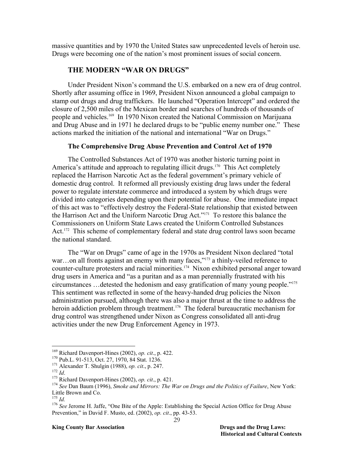massive quantities and by 1970 the United States saw unprecedented levels of heroin use. Drugs were becoming one of the nation's most prominent issues of social concern.

## **THE MODERN "WAR ON DRUGS"**

Under President Nixon's command the U.S. embarked on a new era of drug control. Shortly after assuming office in 1969, President Nixon announced a global campaign to stamp out drugs and drug traffickers. He launched "Operation Intercept" and ordered the closure of 2,500 miles of the Mexican border and searches of hundreds of thousands of people and vehicles.169 In 1970 Nixon created the National Commission on Marijuana and Drug Abuse and in 1971 he declared drugs to be "public enemy number one." These actions marked the initiation of the national and international "War on Drugs."

## **The Comprehensive Drug Abuse Prevention and Control Act of 1970**

The Controlled Substances Act of 1970 was another historic turning point in America's attitude and approach to regulating illicit drugs.<sup>170</sup> This Act completely replaced the Harrison Narcotic Act as the federal government's primary vehicle of domestic drug control. It reformed all previously existing drug laws under the federal power to regulate interstate commerce and introduced a system by which drugs were divided into categories depending upon their potential for abuse. One immediate impact of this act was to "effectively destroy the Federal-State relationship that existed between the Harrison Act and the Uniform Narcotic Drug Act."171 To restore this balance the Commissioners on Uniform State Laws created the Uniform Controlled Substances Act.<sup>172</sup> This scheme of complementary federal and state drug control laws soon became the national standard.

The "War on Drugs" came of age in the 1970s as President Nixon declared "total war...on all fronts against an enemy with many faces,"<sup>173</sup> a thinly-veiled reference to counter-culture protesters and racial minorities.174 Nixon exhibited personal anger toward drug users in America and "as a puritan and as a man perennially frustrated with his circumstances …detested the hedonism and easy gratification of many young people."175 This sentiment was reflected in some of the heavy-handed drug policies the Nixon administration pursued, although there was also a major thrust at the time to address the heroin addiction problem through treatment.<sup>176</sup> The federal bureaucratic mechanism for drug control was strengthened under Nixon as Congress consolidated all anti-drug activities under the new Drug Enforcement Agency in 1973.

<sup>&</sup>lt;sup>169</sup> Richard Davenport-Hines (2002), *op. cit.*, p. 422.<br><sup>170</sup> Pub.L. 91-513, Oct. 27, 1970, 84 Stat. 1236.<br><sup>171</sup> Alexander T. Shulgin (1988), *op. cit.*, p. 247.<br><sup>173</sup> Richard Davenport-Hines (2002), *op. cit.*, p. 421. Little Brown and Co.

<sup>&</sup>lt;sup>175</sup> *Id.* 176 *Id.* 176 *See* Jerome H. Jaffe, "One Bite of the Apple: Establishing the Special Action Office for Drug Abuse Prevention," in David F. Musto, ed. (2002), *op. cit*., pp. 43-53.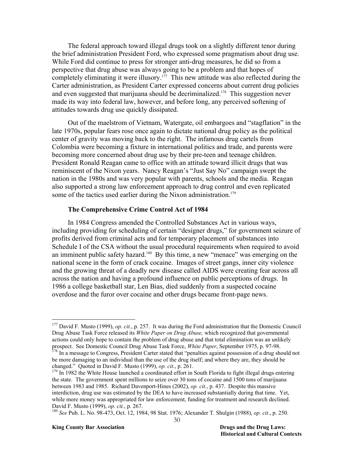The federal approach toward illegal drugs took on a slightly different tenor during the brief administration President Ford, who expressed some pragmatism about drug use. While Ford did continue to press for stronger anti-drug measures, he did so from a perspective that drug abuse was always going to be a problem and that hopes of completely eliminating it were illusory.<sup>177</sup> This new attitude was also reflected during the Carter administration, as President Carter expressed concerns about current drug policies and even suggested that marijuana should be decriminalized.<sup>178</sup> This suggestion never made its way into federal law, however, and before long, any perceived softening of attitudes towards drug use quickly dissipated.

Out of the maelstrom of Vietnam, Watergate, oil embargoes and "stagflation" in the late 1970s, popular fears rose once again to dictate national drug policy as the political center of gravity was moving back to the right. The infamous drug cartels from Colombia were becoming a fixture in international politics and trade, and parents were becoming more concerned about drug use by their pre-teen and teenage children. President Ronald Reagan came to office with an attitude toward illicit drugs that was reminiscent of the Nixon years. Nancy Reagan's "Just Say No" campaign swept the nation in the 1980s and was very popular with parents, schools and the media. Reagan also supported a strong law enforcement approach to drug control and even replicated some of the tactics used earlier during the Nixon administration.<sup>179</sup>

#### **The Comprehensive Crime Control Act of 1984**

In 1984 Congress amended the Controlled Substances Act in various ways, including providing for scheduling of certain "designer drugs," for government seizure of profits derived from criminal acts and for temporary placement of substances into Schedule I of the CSA without the usual procedural requirements when required to avoid an imminent public safety hazard.<sup>180</sup> By this time, a new "menace" was emerging on the national scene in the form of crack cocaine. Images of street gangs, inner city violence and the growing threat of a deadly new disease called AIDS were creating fear across all across the nation and having a profound influence on public perceptions of drugs. In 1986 a college basketball star, Len Bias, died suddenly from a suspected cocaine overdose and the furor over cocaine and other drugs became front-page news.

<sup>177</sup> David F. Musto (1999), *op. cit.*, p. 257. It was during the Ford administration that the Domestic Council Drug Abuse Task Force released its *White Paper on Drug Abuse,* which recognized that governmental actions could only hope to contain the problem of drug abuse and that total elimination was an unlikely prospect. See Domestic Council Drug Abuse Task Force, *White Paper*, September 1975, p. 97-98. 178 In a message to Congress, President Carter stated that "penalties against possession of a drug should not

be more damaging to an individual than the use of the drug itself; and where they are, they should be changed." Quoted in David F. Musto (1999), *op. cit.*, p. 261.

<sup>&</sup>lt;sup>179</sup> In 1982 the White House launched a coordinated effort in South Florida to fight illegal drugs entering the state. The government spent millions to seize over 30 tons of cocaine and 1500 tons of marijuana between 1983 and 1985. Richard Davenport-Hines (2002), *op. cit.*, p. 437. Despite this massive interdiction, drug use was estimated by the DEA to have increased substantially during that time. Yet, while more money was appropriated for law enforcement, funding for treatment and research declined. David F. Musto (1999), *op. cit.*, p. 267. 180 *See* Pub. L. No. 98-473, Oct. 12, 1984, 98 Stat. 1976; Alexander T. Shulgin (1988), *op. cit*., p. 250.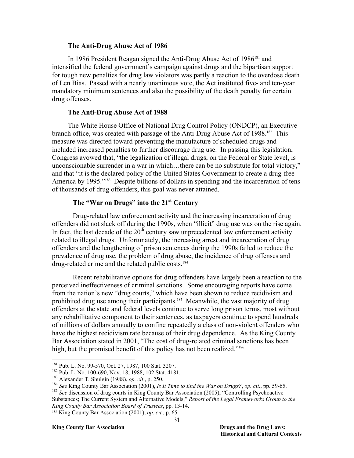#### **The Anti-Drug Abuse Act of 1986**

In 1986 President Reagan signed the Anti-Drug Abuse Act of 1986<sup>181</sup> and intensified the federal government's campaign against drugs and the bipartisan support for tough new penalties for drug law violators was partly a reaction to the overdose death of Len Bias. Passed with a nearly unanimous vote, the Act instituted five- and ten-year mandatory minimum sentences and also the possibility of the death penalty for certain drug offenses.

#### **The Anti-Drug Abuse Act of 1988**

The White House Office of National Drug Control Policy (ONDCP), an Executive branch office, was created with passage of the Anti-Drug Abuse Act of 1988.<sup>182</sup> This measure was directed toward preventing the manufacture of scheduled drugs and included increased penalties to further discourage drug use. In passing this legislation, Congress avowed that, "the legalization of illegal drugs, on the Federal or State level, is unconscionable surrender in a war in which…there can be no substitute for total victory," and that "it is the declared policy of the United States Government to create a drug-free America by 1995."<sup>183</sup> Despite billions of dollars in spending and the incarceration of tens of thousands of drug offenders, this goal was never attained.

## **The "War on Drugs" into the 21st Century**

Drug-related law enforcement activity and the increasing incarceration of drug offenders did not slack off during the 1990s, when "illicit" drug use was on the rise again. In fact, the last decade of the  $20<sup>th</sup>$  century saw unprecedented law enforcement activity related to illegal drugs. Unfortunately, the increasing arrest and incarceration of drug offenders and the lengthening of prison sentences during the 1990s failed to reduce the prevalence of drug use, the problem of drug abuse, the incidence of drug offenses and drug-related crime and the related public costs.<sup>184</sup>

Recent rehabilitative options for drug offenders have largely been a reaction to the perceived ineffectiveness of criminal sanctions. Some encouraging reports have come from the nation's new "drug courts," which have been shown to reduce recidivism and prohibited drug use among their participants.<sup>185</sup> Meanwhile, the vast majority of drug offenders at the state and federal levels continue to serve long prison terms, most without any rehabilitative component to their sentences, as taxpayers continue to spend hundreds of millions of dollars annually to confine repeatedly a class of non-violent offenders who have the highest recidivism rate because of their drug dependence. As the King County Bar Association stated in 2001, "The cost of drug-related criminal sanctions has been high, but the promised benefit of this policy has not been realized."<sup>186</sup>

-

<sup>&</sup>lt;sup>181</sup> Pub. L. No. 99-570, Oct. 27, 1987, 100 Stat. 3207.<br><sup>182</sup> Pub. L. No. 100-690, Nov. 18, 1988, 102 Stat. 4181.<br><sup>183</sup> Alexander T. Shulgin (1988), *op. cit.*, p. 250.<br><sup>184</sup> See King County Bar Association (2001), *Is I* Substances; The Current System and Alternative Models," *Report of the Legal Frameworks Group to the King County Bar Association Board of Trustees*, pp. 13-14.

<sup>186</sup> King County Bar Association (2001), *op. cit.*, p. 65.